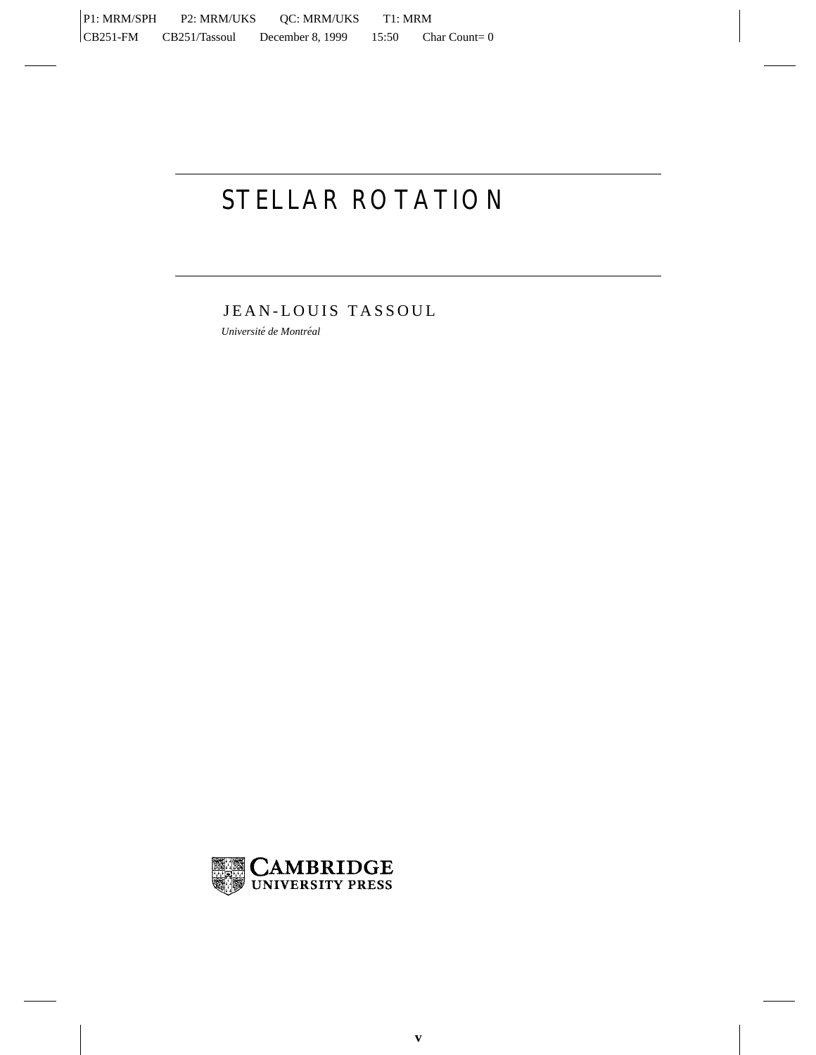# STELLAR ROTATION

JEAN-LOUIS TASSOUL

 $Université de Montréal$ 

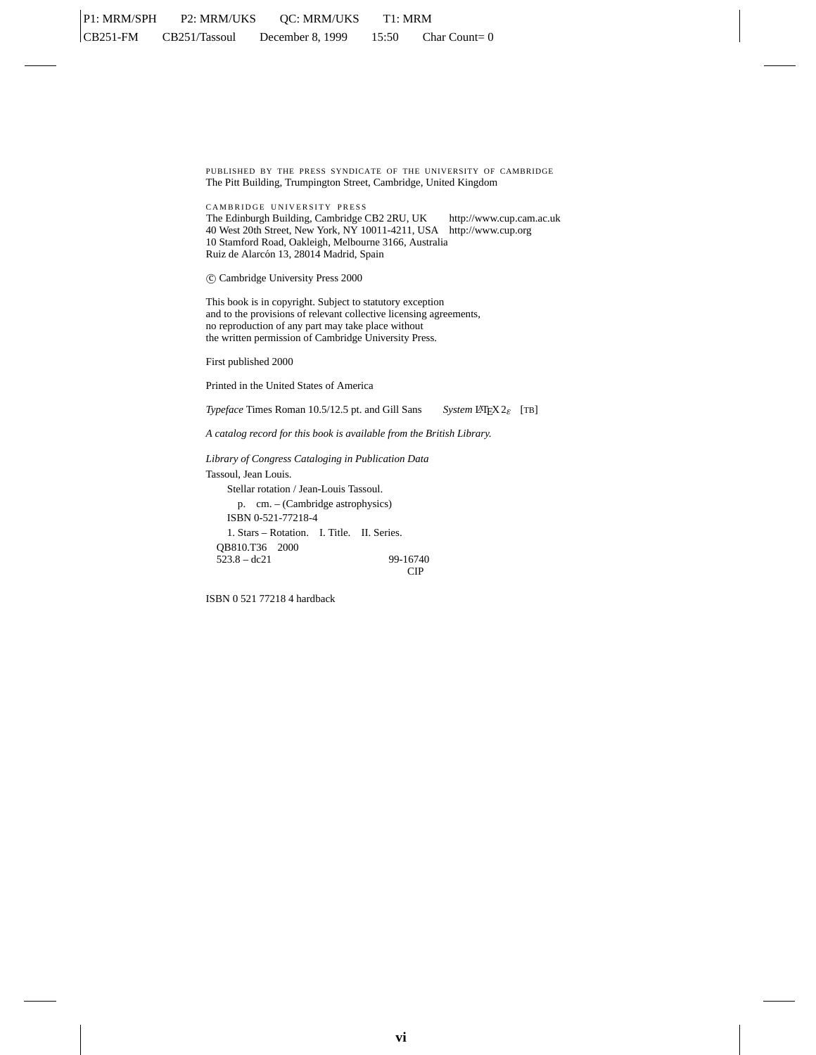PUBLISHED BY THE PRESS SYNDICATE OF THE UNIVERSITY OF CAMBRIDGE The Pitt Building, Trumpington Street, Cambridge, United Kingdom

CAMBRIDGE UNIVERSITY PRESS The Edinburgh Building, Cambridge CB2 2RU, UK http://www.cup.cam.ac.uk 40 West 20th Street, New York, NY 10011-4211, USA http://www.cup.org 10 Stamford Road, Oakleigh, Melbourne 3166, Australia Ruiz de Alarcón 13, 28014 Madrid, Spain

°c Cambridge University Press 2000

This book is in copyright. Subject to statutory exception and to the provisions of relevant collective licensing agreements, no reproduction of any part may take place without the written permission of Cambridge University Press.

First published 2000

Printed in the United States of America

*Typeface* Times Roman 10.5/12.5 pt. and Gill Sans *System LATEX 2<sub>ε</sub>* [TB]

*A catalog record for this book is available from the British Library.*

*Library of Congress Cataloging in Publication Data*

Tassoul, Jean Louis. Stellar rotation / Jean-Louis Tassoul. p. cm. – (Cambridge astrophysics) ISBN 0-521-77218-4 1. Stars – Rotation. I. Title. II. Series. QB810.T36 2000 523.8 – dc21 99-16740 CIP

ISBN 0 521 77218 4 hardback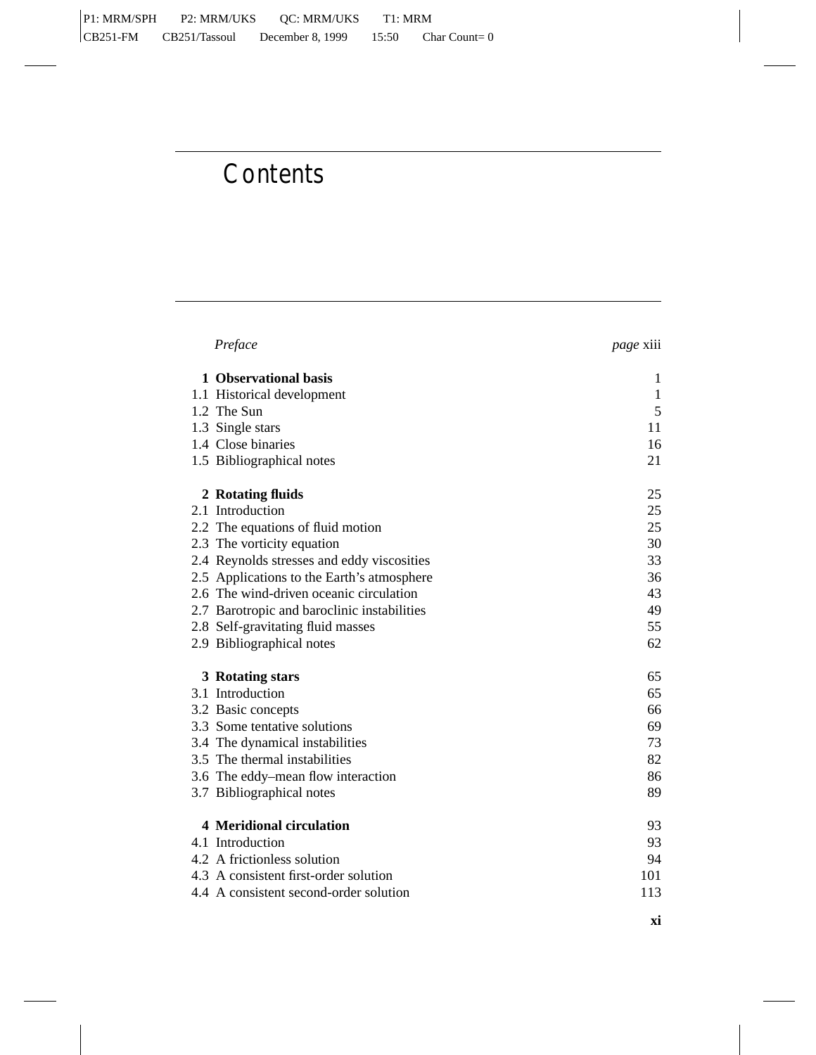# **Contents**

| Preface                                     | page xiii    |
|---------------------------------------------|--------------|
| 1 Observational basis                       | 1            |
| 1.1 Historical development                  | $\mathbf{1}$ |
| 1.2 The Sun                                 | 5            |
| 1.3 Single stars                            | 11           |
| 1.4 Close binaries                          | 16           |
| 1.5 Bibliographical notes                   | 21           |
| 2 Rotating fluids                           | 25           |
| 2.1 Introduction                            | 25           |
| 2.2 The equations of fluid motion           | 25           |
| 2.3 The vorticity equation                  | 30           |
| 2.4 Reynolds stresses and eddy viscosities  | 33           |
| 2.5 Applications to the Earth's atmosphere  | 36           |
| 2.6 The wind-driven oceanic circulation     | 43           |
| 2.7 Barotropic and baroclinic instabilities | 49           |
| 2.8 Self-gravitating fluid masses           | 55           |
| 2.9 Bibliographical notes                   | 62           |
| 3 Rotating stars                            | 65           |
| 3.1 Introduction                            | 65           |
| 3.2 Basic concepts                          | 66           |
| 3.3 Some tentative solutions                | 69           |
| 3.4 The dynamical instabilities             | 73           |
| 3.5 The thermal instabilities               | 82           |
| 3.6 The eddy–mean flow interaction          | 86           |
| 3.7 Bibliographical notes                   | 89           |
| 4 Meridional circulation                    | 93           |
| 4.1 Introduction                            | 93           |
| 4.2 A frictionless solution                 | 94           |
| 4.3 A consistent first-order solution       | 101          |
| 4.4 A consistent second-order solution      | 113          |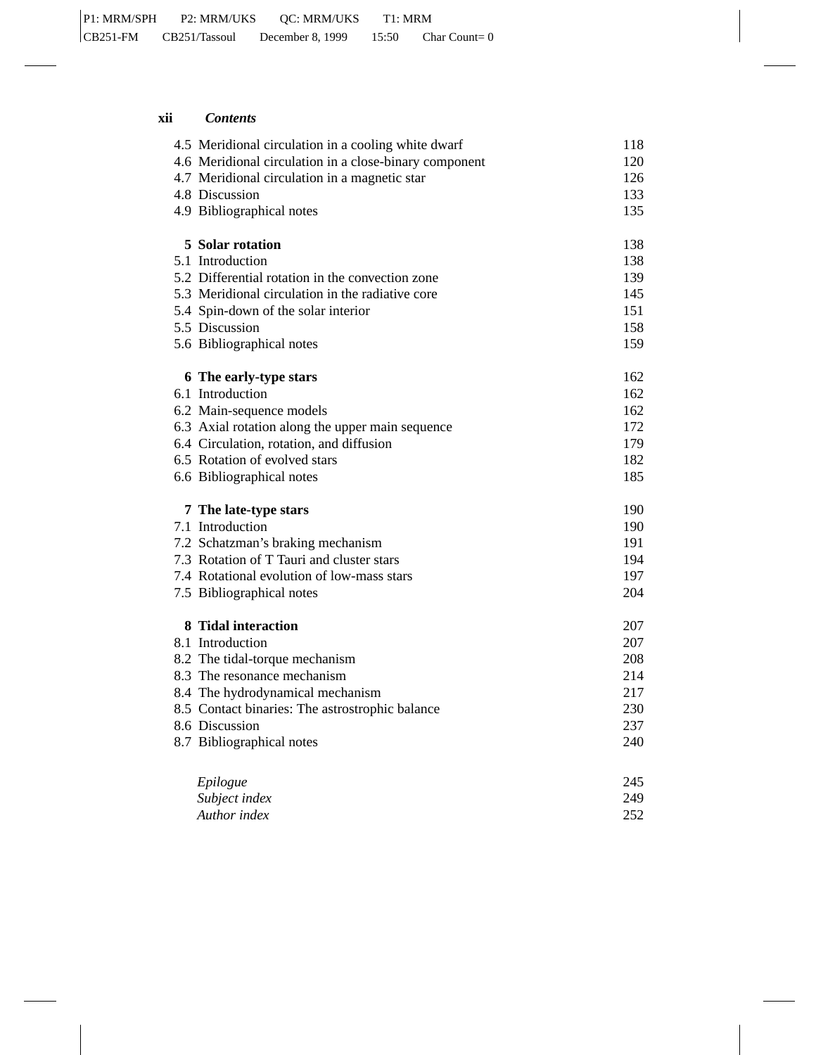# **xii** *Contents*

|  | 4.5 Meridional circulation in a cooling white dwarf    | 118 |
|--|--------------------------------------------------------|-----|
|  | 4.6 Meridional circulation in a close-binary component | 120 |
|  | 4.7 Meridional circulation in a magnetic star          | 126 |
|  | 4.8 Discussion                                         | 133 |
|  | 4.9 Bibliographical notes                              | 135 |
|  | 5 Solar rotation                                       | 138 |
|  | 5.1 Introduction                                       | 138 |
|  | 5.2 Differential rotation in the convection zone       | 139 |
|  | 5.3 Meridional circulation in the radiative core       | 145 |
|  | 5.4 Spin-down of the solar interior                    | 151 |
|  | 5.5 Discussion                                         | 158 |
|  | 5.6 Bibliographical notes                              | 159 |
|  | 6 The early-type stars                                 | 162 |
|  | 6.1 Introduction                                       | 162 |
|  | 6.2 Main-sequence models                               | 162 |
|  | 6.3 Axial rotation along the upper main sequence       | 172 |
|  | 6.4 Circulation, rotation, and diffusion               | 179 |
|  | 6.5 Rotation of evolved stars                          | 182 |
|  | 6.6 Bibliographical notes                              | 185 |
|  | 7 The late-type stars                                  | 190 |
|  | 7.1 Introduction                                       | 190 |
|  | 7.2 Schatzman's braking mechanism                      | 191 |
|  | 7.3 Rotation of T Tauri and cluster stars              | 194 |
|  | 7.4 Rotational evolution of low-mass stars             | 197 |
|  | 7.5 Bibliographical notes                              | 204 |
|  | 8 Tidal interaction                                    | 207 |
|  | 8.1 Introduction                                       | 207 |
|  | 8.2 The tidal-torque mechanism                         | 208 |
|  | 8.3 The resonance mechanism                            | 214 |
|  | 8.4 The hydrodynamical mechanism                       | 217 |
|  | 8.5 Contact binaries: The astrostrophic balance        | 230 |
|  | 8.6 Discussion                                         | 237 |
|  | 8.7 Bibliographical notes                              | 240 |
|  | Epilogue                                               | 245 |
|  | Subject index                                          | 249 |
|  | Author index                                           | 252 |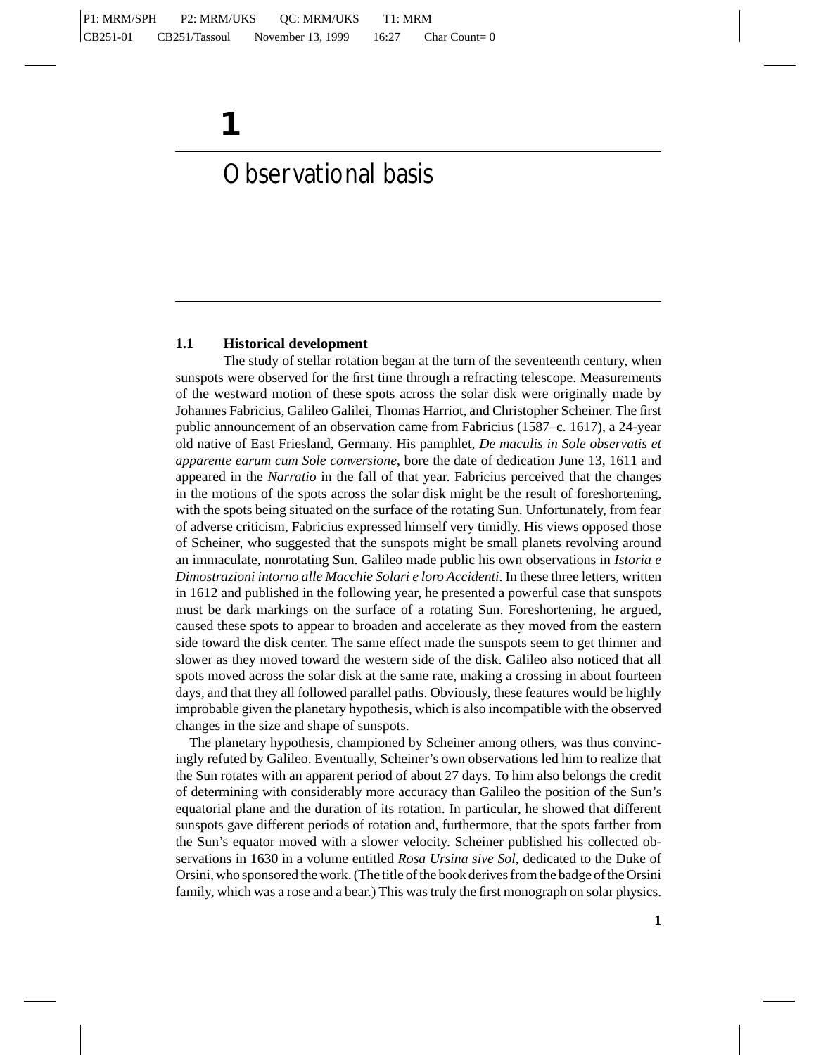# Observational basis

## **1.1 Historical development**

**1**

The study of stellar rotation began at the turn of the seventeenth century, when sunspots were observed for the first time through a refracting telescope. Measurements of the westward motion of these spots across the solar disk were originally made by Johannes Fabricius, Galileo Galilei, Thomas Harriot, and Christopher Scheiner. The first public announcement of an observation came from Fabricius (1587–c. 1617), a 24-year old native of East Friesland, Germany. His pamphlet, *De maculis in Sole observatis et apparente earum cum Sole conversione*, bore the date of dedication June 13, 1611 and appeared in the *Narratio* in the fall of that year. Fabricius perceived that the changes in the motions of the spots across the solar disk might be the result of foreshortening, with the spots being situated on the surface of the rotating Sun. Unfortunately, from fear of adverse criticism, Fabricius expressed himself very timidly. His views opposed those of Scheiner, who suggested that the sunspots might be small planets revolving around an immaculate, nonrotating Sun. Galileo made public his own observations in *Istoria e Dimostrazioni intorno alle Macchie Solari e loro Accidenti*. In these three letters, written in 1612 and published in the following year, he presented a powerful case that sunspots must be dark markings on the surface of a rotating Sun. Foreshortening, he argued, caused these spots to appear to broaden and accelerate as they moved from the eastern side toward the disk center. The same effect made the sunspots seem to get thinner and slower as they moved toward the western side of the disk. Galileo also noticed that all spots moved across the solar disk at the same rate, making a crossing in about fourteen days, and that they all followed parallel paths. Obviously, these features would be highly improbable given the planetary hypothesis, which is also incompatible with the observed changes in the size and shape of sunspots.

The planetary hypothesis, championed by Scheiner among others, was thus convincingly refuted by Galileo. Eventually, Scheiner's own observations led him to realize that the Sun rotates with an apparent period of about 27 days. To him also belongs the credit of determining with considerably more accuracy than Galileo the position of the Sun's equatorial plane and the duration of its rotation. In particular, he showed that different sunspots gave different periods of rotation and, furthermore, that the spots farther from the Sun's equator moved with a slower velocity. Scheiner published his collected observations in 1630 in a volume entitled *Rosa Ursina sive Sol*, dedicated to the Duke of Orsini, who sponsored the work. (The title of the book derives from the badge of the Orsini family, which was a rose and a bear.) This was truly the first monograph on solar physics.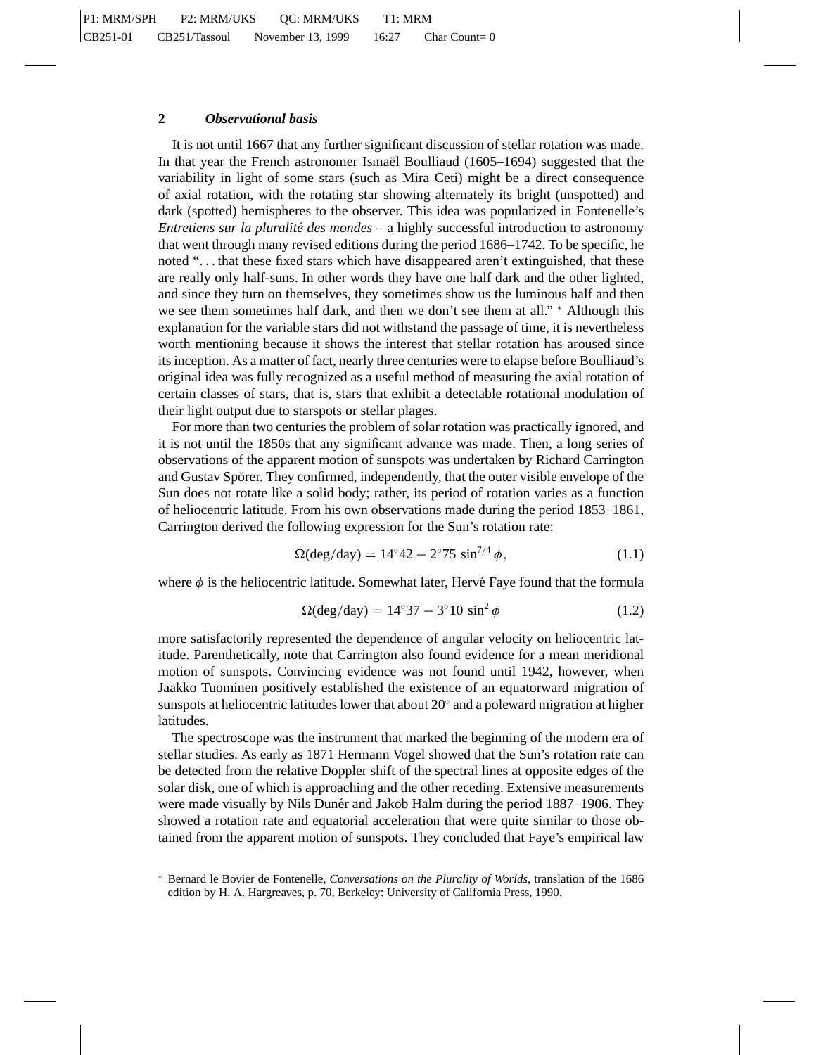#### **2** *Observational basis*

It is not until 1667 that any further significant discussion of stellar rotation was made. In that year the French astronomer Ismaël Boulliaud  $(1605-1694)$  suggested that the variability in light of some stars (such as Mira Ceti) might be a direct consequence of axial rotation, with the rotating star showing alternately its bright (unspotted) and dark (spotted) hemispheres to the observer. This idea was popularized in Fontenelle's *Entretiens sur la pluralité des mondes* – a highly successful introduction to astronomy that went through many revised editions during the period 1686–1742. To be specific, he noted "... that these fixed stars which have disappeared aren't extinguished, that these are really only half-suns. In other words they have one half dark and the other lighted, and since they turn on themselves, they sometimes show us the luminous half and then we see them sometimes half dark, and then we don't see them at all." <sup>∗</sup> Although this explanation for the variable stars did not withstand the passage of time, it is nevertheless worth mentioning because it shows the interest that stellar rotation has aroused since its inception. As a matter of fact, nearly three centuries were to elapse before Boulliaud's original idea was fully recognized as a useful method of measuring the axial rotation of certain classes of stars, that is, stars that exhibit a detectable rotational modulation of their light output due to starspots or stellar plages.

For more than two centuries the problem of solar rotation was practically ignored, and it is not until the 1850s that any significant advance was made. Then, a long series of observations of the apparent motion of sunspots was undertaken by Richard Carrington and Gustav Spörer. They confirmed, independently, that the outer visible envelope of the Sun does not rotate like a solid body; rather, its period of rotation varies as a function of heliocentric latitude. From his own observations made during the period 1853–1861, Carrington derived the following expression for the Sun's rotation rate:

$$
\Omega(\text{deg}/\text{day}) = 14^{\circ}42 - 2^{\circ}75 \sin^{7/4}\phi, \qquad (1.1)
$$

where  $\phi$  is the heliocentric latitude. Somewhat later, Hervé Faye found that the formula

$$
\Omega(\text{deg}/\text{day}) = 14^{\circ}37 - 3^{\circ}10 \sin^2 \phi \tag{1.2}
$$

more satisfactorily represented the dependence of angular velocity on heliocentric latitude. Parenthetically, note that Carrington also found evidence for a mean meridional motion of sunspots. Convincing evidence was not found until 1942, however, when Jaakko Tuominen positively established the existence of an equatorward migration of sunspots at heliocentric latitudes lower that about 20◦ and a poleward migration at higher latitudes.

The spectroscope was the instrument that marked the beginning of the modern era of stellar studies. As early as 1871 Hermann Vogel showed that the Sun's rotation rate can be detected from the relative Doppler shift of the spectral lines at opposite edges of the solar disk, one of which is approaching and the other receding. Extensive measurements were made visually by Nils Dunér and Jakob Halm during the period 1887–1906. They showed a rotation rate and equatorial acceleration that were quite similar to those obtained from the apparent motion of sunspots. They concluded that Faye's empirical law

<sup>∗</sup> Bernard le Bovier de Fontenelle, *Conversations on the Plurality of Worlds*, translation of the 1686 edition by H. A. Hargreaves, p. 70, Berkeley: University of California Press, 1990.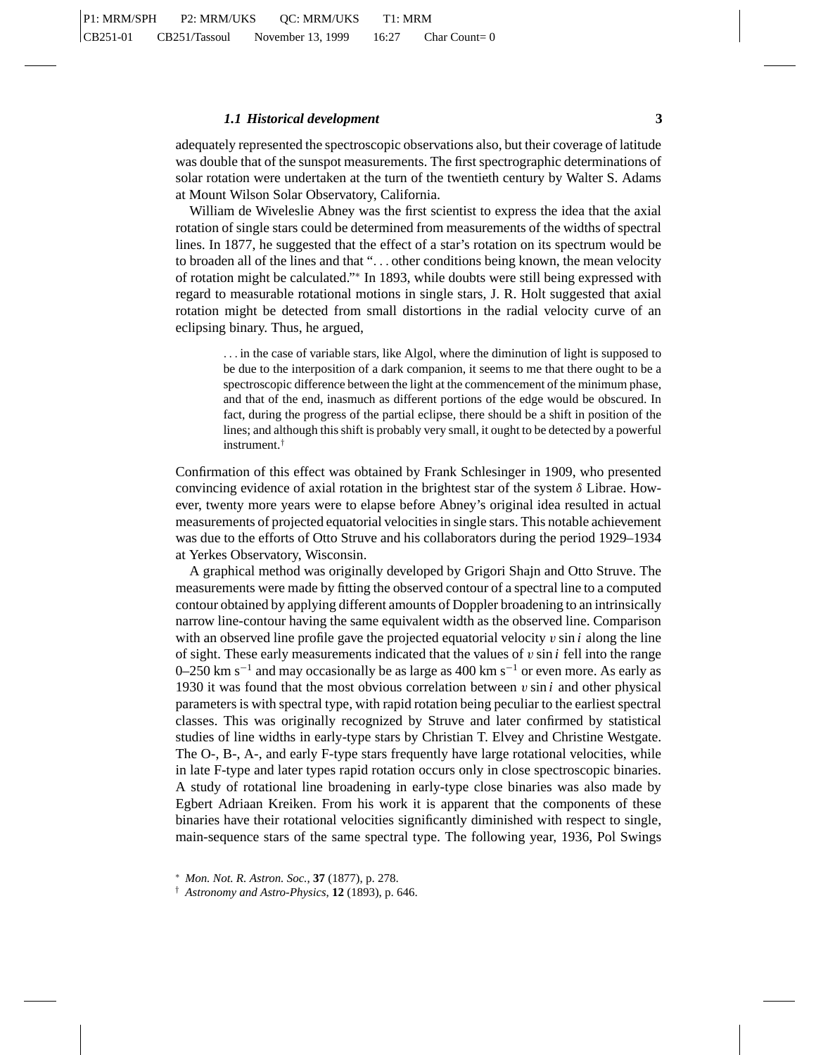#### *1.1 Historical development* **3**

adequately represented the spectroscopic observations also, but their coverage of latitude was double that of the sunspot measurements. The first spectrographic determinations of solar rotation were undertaken at the turn of the twentieth century by Walter S. Adams at Mount Wilson Solar Observatory, California.

William de Wiveleslie Abney was the first scientist to express the idea that the axial rotation of single stars could be determined from measurements of the widths of spectral lines. In 1877, he suggested that the effect of a star's rotation on its spectrum would be to broaden all of the lines and that "... other conditions being known, the mean velocity of rotation might be calculated."<sup>∗</sup> In 1893, while doubts were still being expressed with regard to measurable rotational motions in single stars, J. R. Holt suggested that axial rotation might be detected from small distortions in the radial velocity curve of an eclipsing binary. Thus, he argued,

... in the case of variable stars, like Algol, where the diminution of light is supposed to be due to the interposition of a dark companion, it seems to me that there ought to be a spectroscopic difference between the light at the commencement of the minimum phase, and that of the end, inasmuch as different portions of the edge would be obscured. In fact, during the progress of the partial eclipse, there should be a shift in position of the lines; and although this shift is probably very small, it ought to be detected by a powerful instrument.†

Confirmation of this effect was obtained by Frank Schlesinger in 1909, who presented convincing evidence of axial rotation in the brightest star of the system  $\delta$  Librae. However, twenty more years were to elapse before Abney's original idea resulted in actual measurements of projected equatorial velocities in single stars. This notable achievement was due to the efforts of Otto Struve and his collaborators during the period 1929–1934 at Yerkes Observatory, Wisconsin.

A graphical method was originally developed by Grigori Shajn and Otto Struve. The measurements were made by fitting the observed contour of a spectral line to a computed contour obtained by applying different amounts of Doppler broadening to an intrinsically narrow line-contour having the same equivalent width as the observed line. Comparison with an observed line profile gave the projected equatorial velocity v sin *i* along the line of sight. These early measurements indicated that the values of v sin *i* fell into the range 0–250 km s<sup>-1</sup> and may occasionally be as large as 400 km s<sup>-1</sup> or even more. As early as 1930 it was found that the most obvious correlation between  $v \sin i$  and other physical parameters is with spectral type, with rapid rotation being peculiar to the earliest spectral classes. This was originally recognized by Struve and later confirmed by statistical studies of line widths in early-type stars by Christian T. Elvey and Christine Westgate. The O-, B-, A-, and early F-type stars frequently have large rotational velocities, while in late F-type and later types rapid rotation occurs only in close spectroscopic binaries. A study of rotational line broadening in early-type close binaries was also made by Egbert Adriaan Kreiken. From his work it is apparent that the components of these binaries have their rotational velocities significantly diminished with respect to single, main-sequence stars of the same spectral type. The following year, 1936, Pol Swings

† *Astronomy and Astro-Physics*, **12** (1893), p. 646.

<sup>∗</sup> *Mon. Not. R. Astron. Soc.*, **37** (1877), p. 278.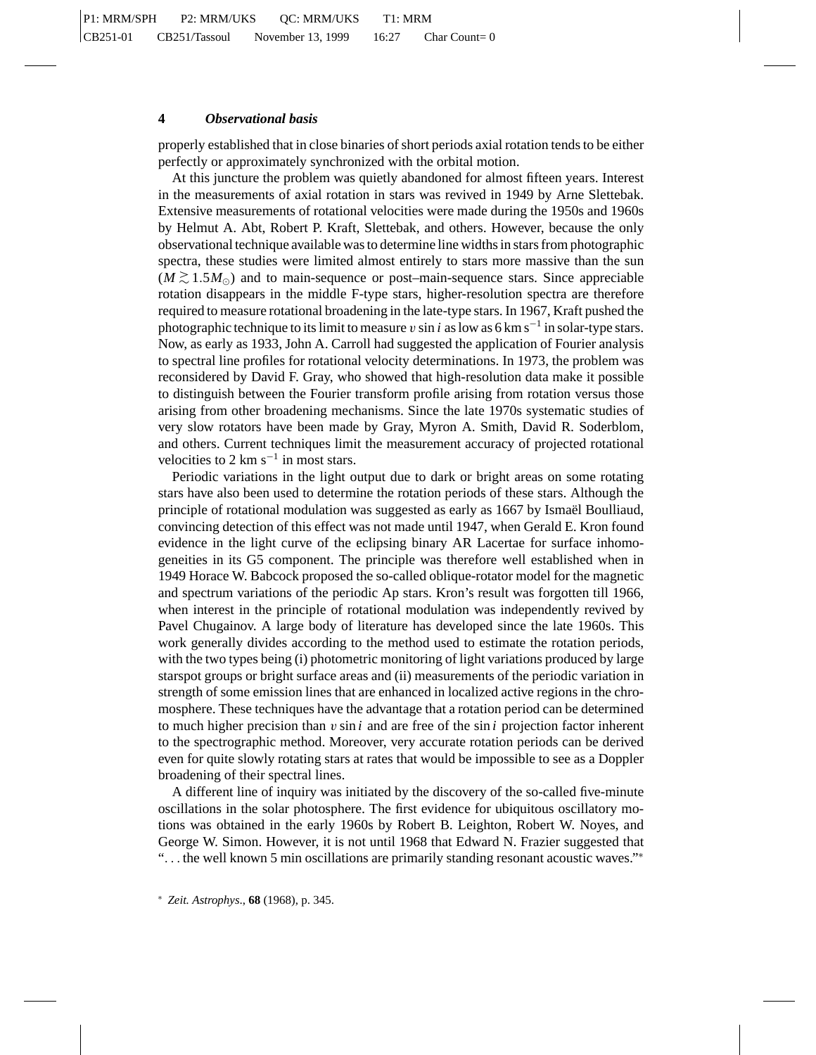properly established that in close binaries of short periods axial rotation tends to be either perfectly or approximately synchronized with the orbital motion.

At this juncture the problem was quietly abandoned for almost fifteen years. Interest in the measurements of axial rotation in stars was revived in 1949 by Arne Slettebak. Extensive measurements of rotational velocities were made during the 1950s and 1960s by Helmut A. Abt, Robert P. Kraft, Slettebak, and others. However, because the only observational technique available was to determine line widths in stars from photographic spectra, these studies were limited almost entirely to stars more massive than the sun  $(M \gtrsim 1.5M_{\odot})$  and to main-sequence or post–main-sequence stars. Since appreciable<br>retation disappears in the middle E type stars, bigher resolution apostre are therefore rotation disappears in the middle F-type stars, higher-resolution spectra are therefore required to measure rotational broadening in the late-type stars. In 1967, Kraft pushed the photographic technique to its limit to measure v sin *i* as low as 6 km s<sup> $-1$ </sup> in solar-type stars. Now, as early as 1933, John A. Carroll had suggested the application of Fourier analysis to spectral line profiles for rotational velocity determinations. In 1973, the problem was reconsidered by David F. Gray, who showed that high-resolution data make it possible to distinguish between the Fourier transform profile arising from rotation versus those arising from other broadening mechanisms. Since the late 1970s systematic studies of very slow rotators have been made by Gray, Myron A. Smith, David R. Soderblom, and others. Current techniques limit the measurement accuracy of projected rotational velocities to 2 km  $s^{-1}$  in most stars.

Periodic variations in the light output due to dark or bright areas on some rotating stars have also been used to determine the rotation periods of these stars. Although the principle of rotational modulation was suggested as early as 1667 by Ismaël Boulliaud, convincing detection of this effect was not made until 1947, when Gerald E. Kron found evidence in the light curve of the eclipsing binary AR Lacertae for surface inhomogeneities in its G5 component. The principle was therefore well established when in 1949 Horace W. Babcock proposed the so-called oblique-rotator model for the magnetic and spectrum variations of the periodic Ap stars. Kron's result was forgotten till 1966, when interest in the principle of rotational modulation was independently revived by Pavel Chugainov. A large body of literature has developed since the late 1960s. This work generally divides according to the method used to estimate the rotation periods, with the two types being (i) photometric monitoring of light variations produced by large starspot groups or bright surface areas and (ii) measurements of the periodic variation in strength of some emission lines that are enhanced in localized active regions in the chromosphere. These techniques have the advantage that a rotation period can be determined to much higher precision than  $v \sin i$  and are free of the  $\sin i$  projection factor inherent to the spectrographic method. Moreover, very accurate rotation periods can be derived even for quite slowly rotating stars at rates that would be impossible to see as a Doppler broadening of their spectral lines.

A different line of inquiry was initiated by the discovery of the so-called five-minute oscillations in the solar photosphere. The first evidence for ubiquitous oscillatory motions was obtained in the early 1960s by Robert B. Leighton, Robert W. Noyes, and George W. Simon. However, it is not until 1968 that Edward N. Frazier suggested that "... the well known 5 min oscillations are primarily standing resonant acoustic waves."<sup>∗</sup>

<sup>∗</sup> *Zeit. Astrophys*., **68** (1968), p. 345.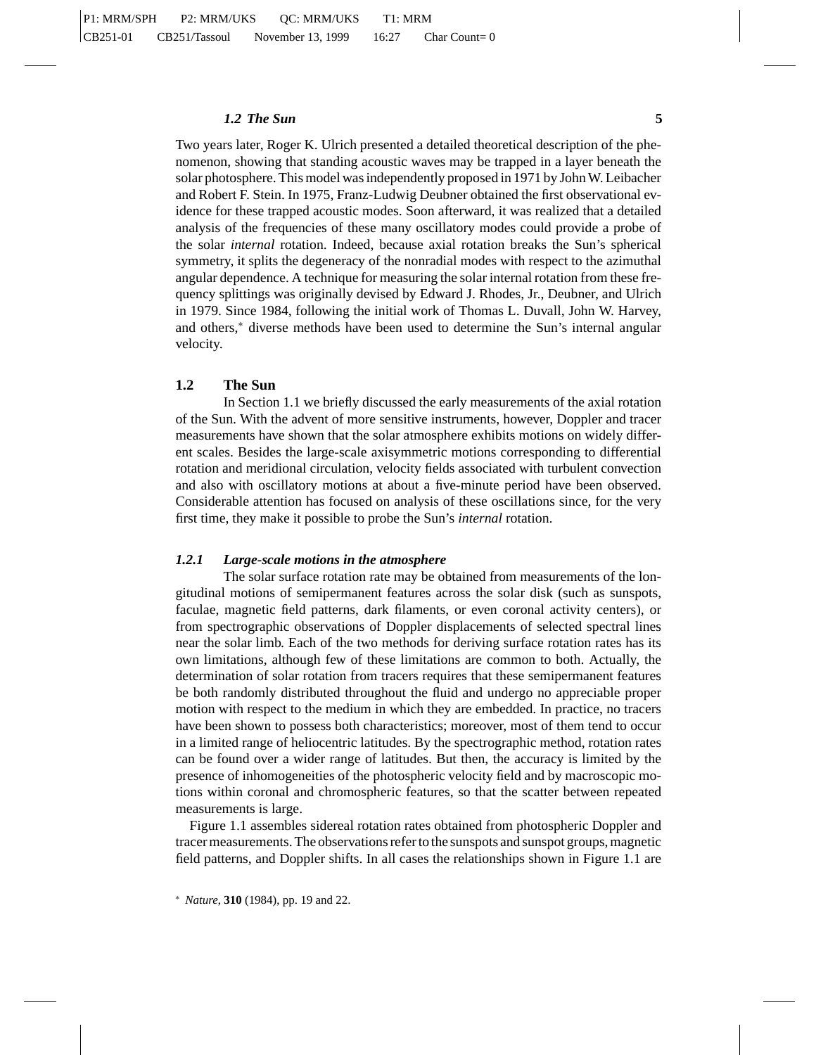#### *1.2 The Sun* **5**

Two years later, Roger K. Ulrich presented a detailed theoretical description of the phenomenon, showing that standing acoustic waves may be trapped in a layer beneath the solar photosphere. This model was independently proposed in 1971 by John W. Leibacher and Robert F. Stein. In 1975, Franz-Ludwig Deubner obtained the first observational evidence for these trapped acoustic modes. Soon afterward, it was realized that a detailed analysis of the frequencies of these many oscillatory modes could provide a probe of the solar *internal* rotation. Indeed, because axial rotation breaks the Sun's spherical symmetry, it splits the degeneracy of the nonradial modes with respect to the azimuthal angular dependence. A technique for measuring the solar internal rotation from these frequency splittings was originally devised by Edward J. Rhodes, Jr., Deubner, and Ulrich in 1979. Since 1984, following the initial work of Thomas L. Duvall, John W. Harvey, and others,<sup>∗</sup> diverse methods have been used to determine the Sun's internal angular velocity.

#### **1.2 The Sun**

In Section 1.1 we briefly discussed the early measurements of the axial rotation of the Sun. With the advent of more sensitive instruments, however, Doppler and tracer measurements have shown that the solar atmosphere exhibits motions on widely different scales. Besides the large-scale axisymmetric motions corresponding to differential rotation and meridional circulation, velocity fields associated with turbulent convection and also with oscillatory motions at about a five-minute period have been observed. Considerable attention has focused on analysis of these oscillations since, for the very first time, they make it possible to probe the Sun's *internal* rotation.

### *1.2.1 Large-scale motions in the atmosphere*

The solar surface rotation rate may be obtained from measurements of the longitudinal motions of semipermanent features across the solar disk (such as sunspots, faculae, magnetic field patterns, dark filaments, or even coronal activity centers), or from spectrographic observations of Doppler displacements of selected spectral lines near the solar limb. Each of the two methods for deriving surface rotation rates has its own limitations, although few of these limitations are common to both. Actually, the determination of solar rotation from tracers requires that these semipermanent features be both randomly distributed throughout the fluid and undergo no appreciable proper motion with respect to the medium in which they are embedded. In practice, no tracers have been shown to possess both characteristics; moreover, most of them tend to occur in a limited range of heliocentric latitudes. By the spectrographic method, rotation rates can be found over a wider range of latitudes. But then, the accuracy is limited by the presence of inhomogeneities of the photospheric velocity field and by macroscopic motions within coronal and chromospheric features, so that the scatter between repeated measurements is large.

Figure 1.1 assembles sidereal rotation rates obtained from photospheric Doppler and tracer measurements. The observations refer to the sunspots and sunspot groups, magnetic field patterns, and Doppler shifts. In all cases the relationships shown in Figure 1.1 are

<sup>∗</sup> *Nature*, **310** (1984), pp. 19 and 22.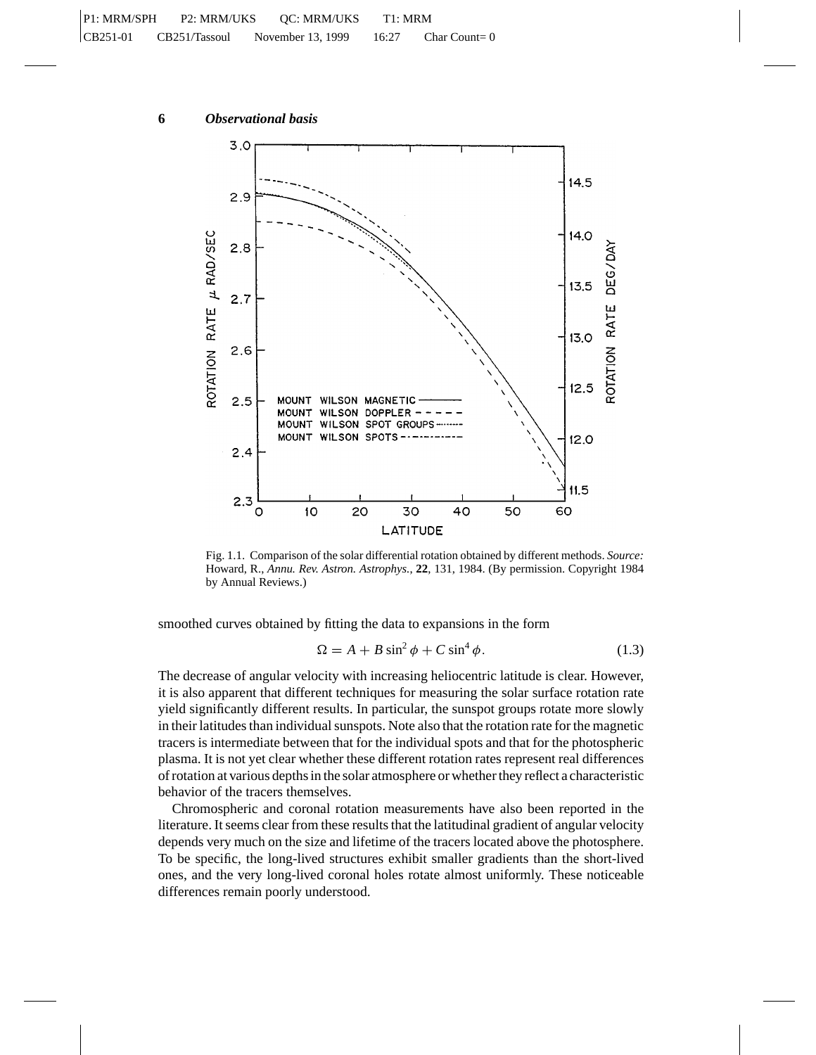

Fig. 1.1. Comparison of the solar differential rotation obtained by different methods. *Source:* Howard, R., *Annu. Rev. Astron. Astrophys.*, **22**, 131, 1984. (By permission. Copyright 1984 by Annual Reviews.)

smoothed curves obtained by fitting the data to expansions in the form

$$
\Omega = A + B \sin^2 \phi + C \sin^4 \phi. \tag{1.3}
$$

The decrease of angular velocity with increasing heliocentric latitude is clear. However, it is also apparent that different techniques for measuring the solar surface rotation rate yield significantly different results. In particular, the sunspot groups rotate more slowly in their latitudes than individual sunspots. Note also that the rotation rate for the magnetic tracers is intermediate between that for the individual spots and that for the photospheric plasma. It is not yet clear whether these different rotation rates represent real differences of rotation at various depths in the solar atmosphere or whether they reflect a characteristic behavior of the tracers themselves.

Chromospheric and coronal rotation measurements have also been reported in the literature. It seems clear from these results that the latitudinal gradient of angular velocity depends very much on the size and lifetime of the tracers located above the photosphere. To be specific, the long-lived structures exhibit smaller gradients than the short-lived ones, and the very long-lived coronal holes rotate almost uniformly. These noticeable differences remain poorly understood.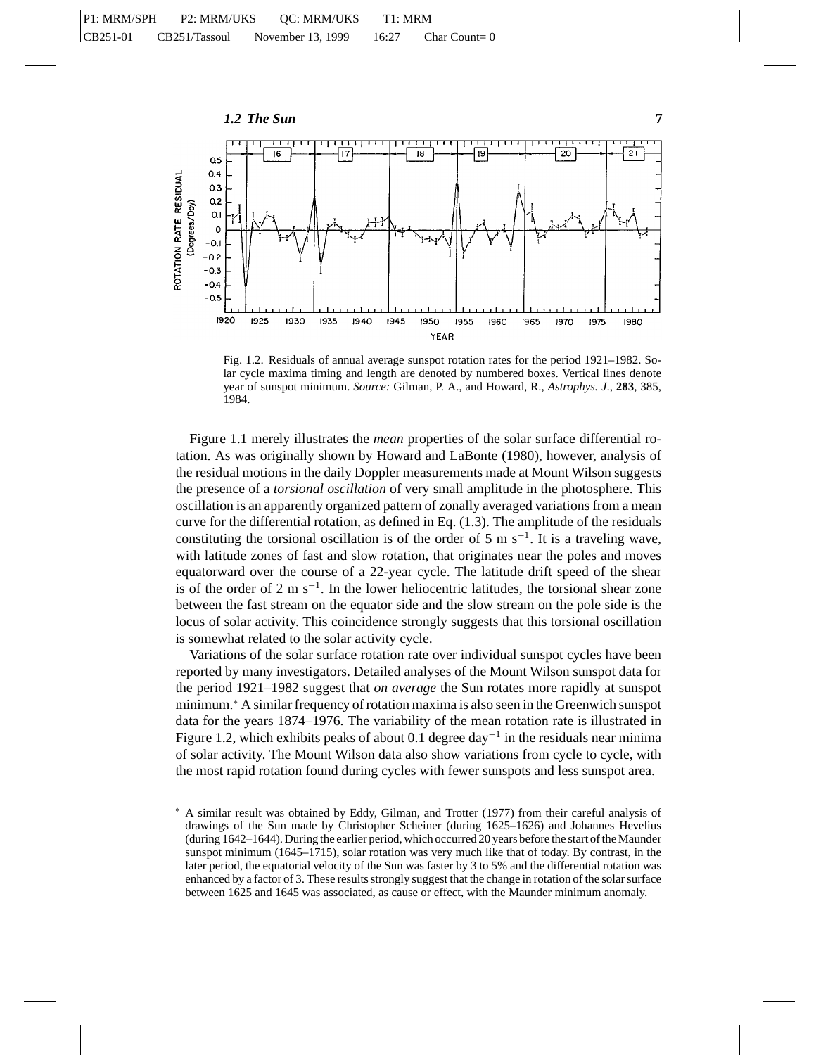

Fig. 1.2. Residuals of annual average sunspot rotation rates for the period 1921–1982. Solar cycle maxima timing and length are denoted by numbered boxes. Vertical lines denote year of sunspot minimum. *Source:* Gilman, P. A., and Howard, R., *Astrophys. J*., **283**, 385, 1984.

Figure 1.1 merely illustrates the *mean* properties of the solar surface differential rotation. As was originally shown by Howard and LaBonte (1980), however, analysis of the residual motions in the daily Doppler measurements made at Mount Wilson suggests the presence of a *torsional oscillation* of very small amplitude in the photosphere. This oscillation is an apparently organized pattern of zonally averaged variations from a mean curve for the differential rotation, as defined in Eq. (1.3). The amplitude of the residuals constituting the torsional oscillation is of the order of 5 m s<sup>-1</sup>. It is a traveling wave, with latitude zones of fast and slow rotation, that originates near the poles and moves equatorward over the course of a 22-year cycle. The latitude drift speed of the shear is of the order of 2 m s<sup>−1</sup>. In the lower heliocentric latitudes, the torsional shear zone between the fast stream on the equator side and the slow stream on the pole side is the locus of solar activity. This coincidence strongly suggests that this torsional oscillation is somewhat related to the solar activity cycle.

Variations of the solar surface rotation rate over individual sunspot cycles have been reported by many investigators. Detailed analyses of the Mount Wilson sunspot data for the period 1921–1982 suggest that *on average* the Sun rotates more rapidly at sunspot minimum.<sup>∗</sup> A similar frequency of rotation maxima is also seen in the Greenwich sunspot data for the years 1874–1976. The variability of the mean rotation rate is illustrated in Figure 1.2, which exhibits peaks of about 0.1 degree day<sup>-1</sup> in the residuals near minima of solar activity. The Mount Wilson data also show variations from cycle to cycle, with the most rapid rotation found during cycles with fewer sunspots and less sunspot area.

<sup>∗</sup> A similar result was obtained by Eddy, Gilman, and Trotter (1977) from their careful analysis of drawings of the Sun made by Christopher Scheiner (during 1625–1626) and Johannes Hevelius (during 1642–1644). During the earlier period, which occurred 20 years before the start of the Maunder sunspot minimum (1645–1715), solar rotation was very much like that of today. By contrast, in the later period, the equatorial velocity of the Sun was faster by 3 to 5% and the differential rotation was enhanced by a factor of 3. These results strongly suggest that the change in rotation of the solar surface between 1625 and 1645 was associated, as cause or effect, with the Maunder minimum anomaly.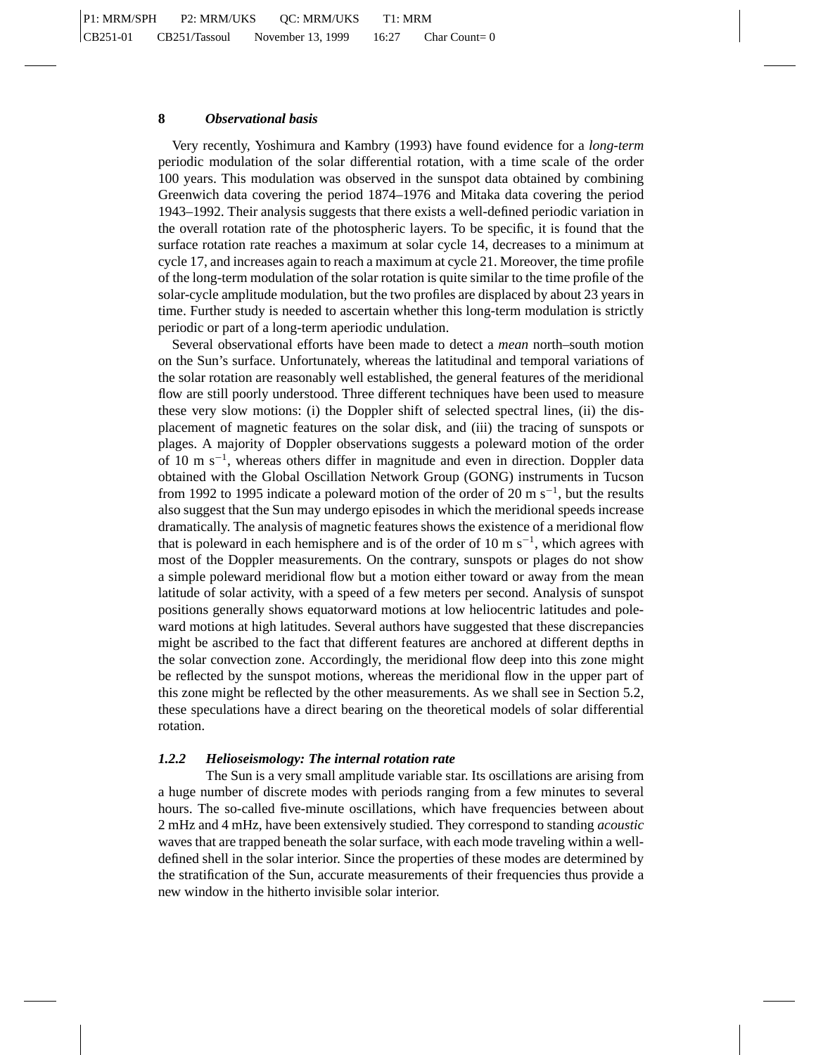#### **8** *Observational basis*

Very recently, Yoshimura and Kambry (1993) have found evidence for a *long-term* periodic modulation of the solar differential rotation, with a time scale of the order 100 years. This modulation was observed in the sunspot data obtained by combining Greenwich data covering the period 1874–1976 and Mitaka data covering the period 1943–1992. Their analysis suggests that there exists a well-defined periodic variation in the overall rotation rate of the photospheric layers. To be specific, it is found that the surface rotation rate reaches a maximum at solar cycle 14, decreases to a minimum at cycle 17, and increases again to reach a maximum at cycle 21. Moreover, the time profile of the long-term modulation of the solar rotation is quite similar to the time profile of the solar-cycle amplitude modulation, but the two profiles are displaced by about 23 years in time. Further study is needed to ascertain whether this long-term modulation is strictly periodic or part of a long-term aperiodic undulation.

Several observational efforts have been made to detect a *mean* north–south motion on the Sun's surface. Unfortunately, whereas the latitudinal and temporal variations of the solar rotation are reasonably well established, the general features of the meridional flow are still poorly understood. Three different techniques have been used to measure these very slow motions: (i) the Doppler shift of selected spectral lines, (ii) the displacement of magnetic features on the solar disk, and (iii) the tracing of sunspots or plages. A majority of Doppler observations suggests a poleward motion of the order of 10 m s−1, whereas others differ in magnitude and even in direction. Doppler data obtained with the Global Oscillation Network Group (GONG) instruments in Tucson from 1992 to 1995 indicate a poleward motion of the order of 20 m s<sup>-1</sup>, but the results also suggest that the Sun may undergo episodes in which the meridional speeds increase dramatically. The analysis of magnetic features shows the existence of a meridional flow that is poleward in each hemisphere and is of the order of 10 m s<sup>-1</sup>, which agrees with most of the Doppler measurements. On the contrary, sunspots or plages do not show a simple poleward meridional flow but a motion either toward or away from the mean latitude of solar activity, with a speed of a few meters per second. Analysis of sunspot positions generally shows equatorward motions at low heliocentric latitudes and poleward motions at high latitudes. Several authors have suggested that these discrepancies might be ascribed to the fact that different features are anchored at different depths in the solar convection zone. Accordingly, the meridional flow deep into this zone might be reflected by the sunspot motions, whereas the meridional flow in the upper part of this zone might be reflected by the other measurements. As we shall see in Section 5.2, these speculations have a direct bearing on the theoretical models of solar differential rotation.

#### *1.2.2 Helioseismology: The internal rotation rate*

The Sun is a very small amplitude variable star. Its oscillations are arising from a huge number of discrete modes with periods ranging from a few minutes to several hours. The so-called five-minute oscillations, which have frequencies between about 2 mHz and 4 mHz, have been extensively studied. They correspond to standing *acoustic* waves that are trapped beneath the solar surface, with each mode traveling within a welldefined shell in the solar interior. Since the properties of these modes are determined by the stratification of the Sun, accurate measurements of their frequencies thus provide a new window in the hitherto invisible solar interior.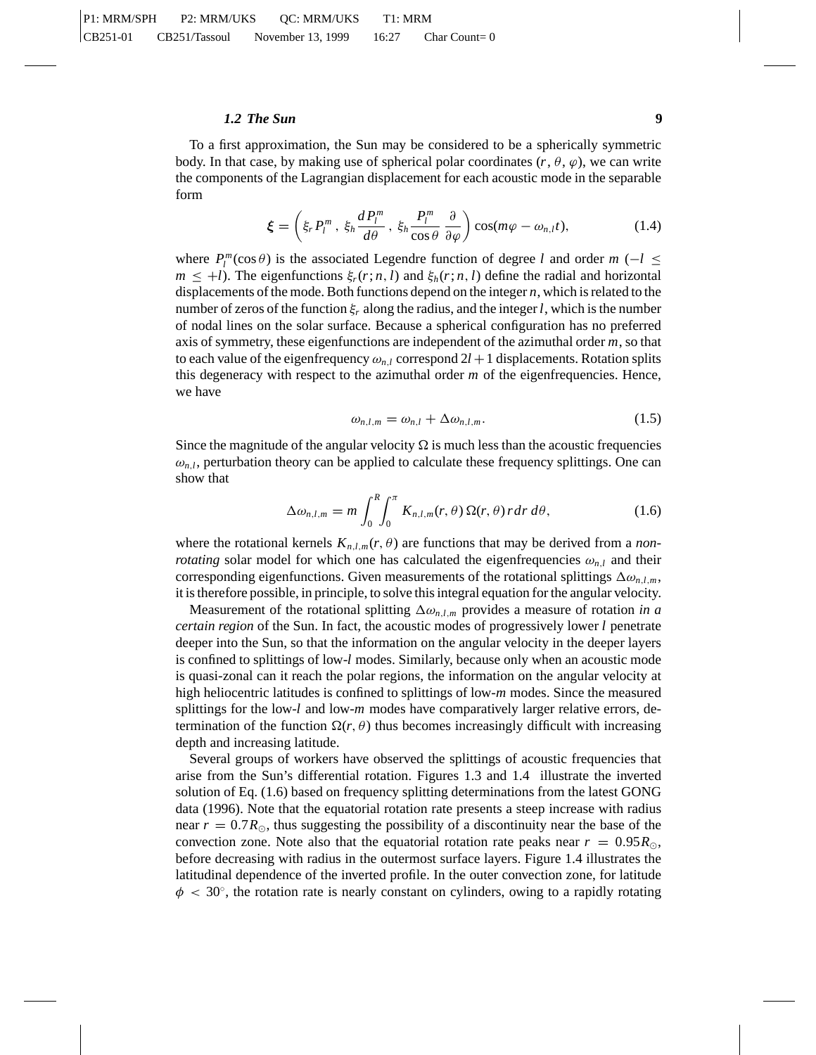#### *1.2 The Sun* **9**

To a first approximation, the Sun may be considered to be a spherically symmetric body. In that case, by making use of spherical polar coordinates  $(r, \theta, \varphi)$ , we can write the components of the Lagrangian displacement for each acoustic mode in the separable form

$$
\boldsymbol{\xi} = \left( \xi_r P_l^m, \ \xi_h \frac{d P_l^m}{d \theta}, \ \xi_h \frac{P_l^m}{\cos \theta} \frac{\partial}{\partial \varphi} \right) \cos(m\varphi - \omega_{n,l} t), \tag{1.4}
$$

where  $P_l^m(\cos \theta)$  is the associated Legendre function of degree *l* and order *m* (−*l* ≤  $m \leq +l$ ). The eigenfunctions  $\xi_r(r; n, l)$  and  $\xi_h(r; n, l)$  define the radial and horizontal displacements of the mode. Both functions depend on the integer *n*, which is related to the number of zeros of the function ξ*<sup>r</sup>* along the radius, and the integer*l*, which is the number of nodal lines on the solar surface. Because a spherical configuration has no preferred axis of symmetry, these eigenfunctions are independent of the azimuthal order *m*, so that to each value of the eigenfrequency  $\omega_{n,l}$  correspond  $2l + 1$  displacements. Rotation splits this degeneracy with respect to the azimuthal order *m* of the eigenfrequencies. Hence, we have

$$
\omega_{n,l,m} = \omega_{n,l} + \Delta \omega_{n,l,m}.\tag{1.5}
$$

Since the magnitude of the angular velocity  $\Omega$  is much less than the acoustic frequencies  $\omega_{n,l}$ , perturbation theory can be applied to calculate these frequency splittings. One can show that

$$
\Delta \omega_{n,l,m} = m \int_0^R \int_0^{\pi} K_{n,l,m}(r,\theta) \,\Omega(r,\theta) \,r \,dr \,d\theta,\tag{1.6}
$$

where the rotational kernels  $K_{n,l,m}(r, \theta)$  are functions that may be derived from a *nonrotating* solar model for which one has calculated the eigenfrequencies  $\omega_{n,l}$  and their corresponding eigenfunctions. Given measurements of the rotational splittings  $\Delta \omega_{n l m}$ , it is therefore possible, in principle, to solve this integral equation for the angular velocity.

Measurement of the rotational splitting  $\Delta \omega_{n,l,m}$  provides a measure of rotation *in a certain region* of the Sun. In fact, the acoustic modes of progressively lower *l* penetrate deeper into the Sun, so that the information on the angular velocity in the deeper layers is confined to splittings of low-*l* modes. Similarly, because only when an acoustic mode is quasi-zonal can it reach the polar regions, the information on the angular velocity at high heliocentric latitudes is confined to splittings of low-*m* modes. Since the measured splittings for the low-*l* and low-*m* modes have comparatively larger relative errors, determination of the function  $\Omega(r, \theta)$  thus becomes increasingly difficult with increasing depth and increasing latitude.

Several groups of workers have observed the splittings of acoustic frequencies that arise from the Sun's differential rotation. Figures 1.3 and 1.4 illustrate the inverted solution of Eq. (1.6) based on frequency splitting determinations from the latest GONG data (1996). Note that the equatorial rotation rate presents a steep increase with radius near  $r = 0.7R_{\odot}$ , thus suggesting the possibility of a discontinuity near the base of the convection zone. Note also that the equatorial rotation rate peaks near  $r = 0.95R_{\odot}$ , before decreasing with radius in the outermost surface layers. Figure 1.4 illustrates the latitudinal dependence of the inverted profile. In the outer convection zone, for latitude  $\phi$  < 30°, the rotation rate is nearly constant on cylinders, owing to a rapidly rotating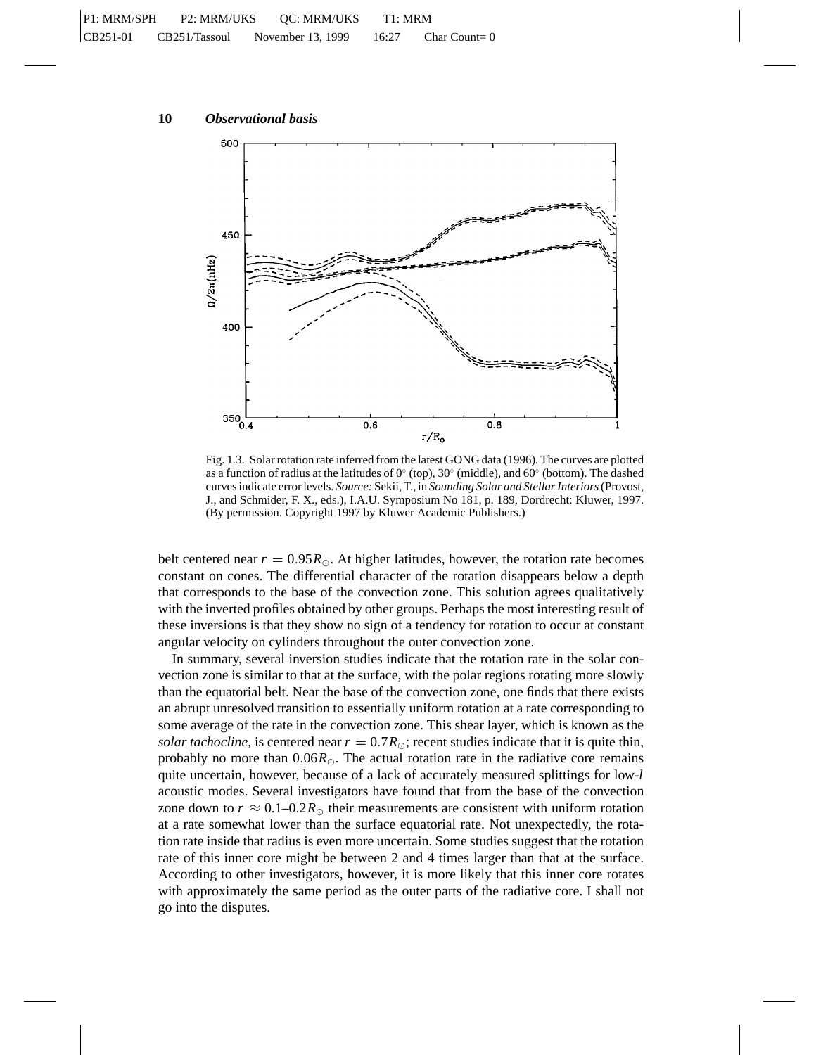

Fig. 1.3. Solar rotation rate inferred from the latest GONG data (1996). The curves are plotted as a function of radius at the latitudes of  $0°$  (top),  $30°$  (middle), and  $60°$  (bottom). The dashed curves indicate error levels. *Source:* Sekii, T., in *Sounding Solar and Stellar Interiors*(Provost, J., and Schmider, F. X., eds.), I.A.U. Symposium No 181, p. 189, Dordrecht: Kluwer, 1997. (By permission. Copyright 1997 by Kluwer Academic Publishers.)

belt centered near  $r = 0.95R_{\odot}$ . At higher latitudes, however, the rotation rate becomes constant on cones. The differential character of the rotation disappears below a depth that corresponds to the base of the convection zone. This solution agrees qualitatively with the inverted profiles obtained by other groups. Perhaps the most interesting result of these inversions is that they show no sign of a tendency for rotation to occur at constant angular velocity on cylinders throughout the outer convection zone.

In summary, several inversion studies indicate that the rotation rate in the solar convection zone is similar to that at the surface, with the polar regions rotating more slowly than the equatorial belt. Near the base of the convection zone, one finds that there exists an abrupt unresolved transition to essentially uniform rotation at a rate corresponding to some average of the rate in the convection zone. This shear layer, which is known as the *solar tachocline*, is centered near  $r = 0.7 R_{\odot}$ ; recent studies indicate that it is quite thin, probably no more than  $0.06R_{\odot}$ . The actual rotation rate in the radiative core remains quite uncertain, however, because of a lack of accurately measured splittings for low-*l* acoustic modes. Several investigators have found that from the base of the convection zone down to  $r \approx 0.1 - 0.2R_{\odot}$  their measurements are consistent with uniform rotation at a rate somewhat lower than the surface equatorial rate. Not unexpectedly, the rotation rate inside that radius is even more uncertain. Some studies suggest that the rotation rate of this inner core might be between 2 and 4 times larger than that at the surface. According to other investigators, however, it is more likely that this inner core rotates with approximately the same period as the outer parts of the radiative core. I shall not go into the disputes.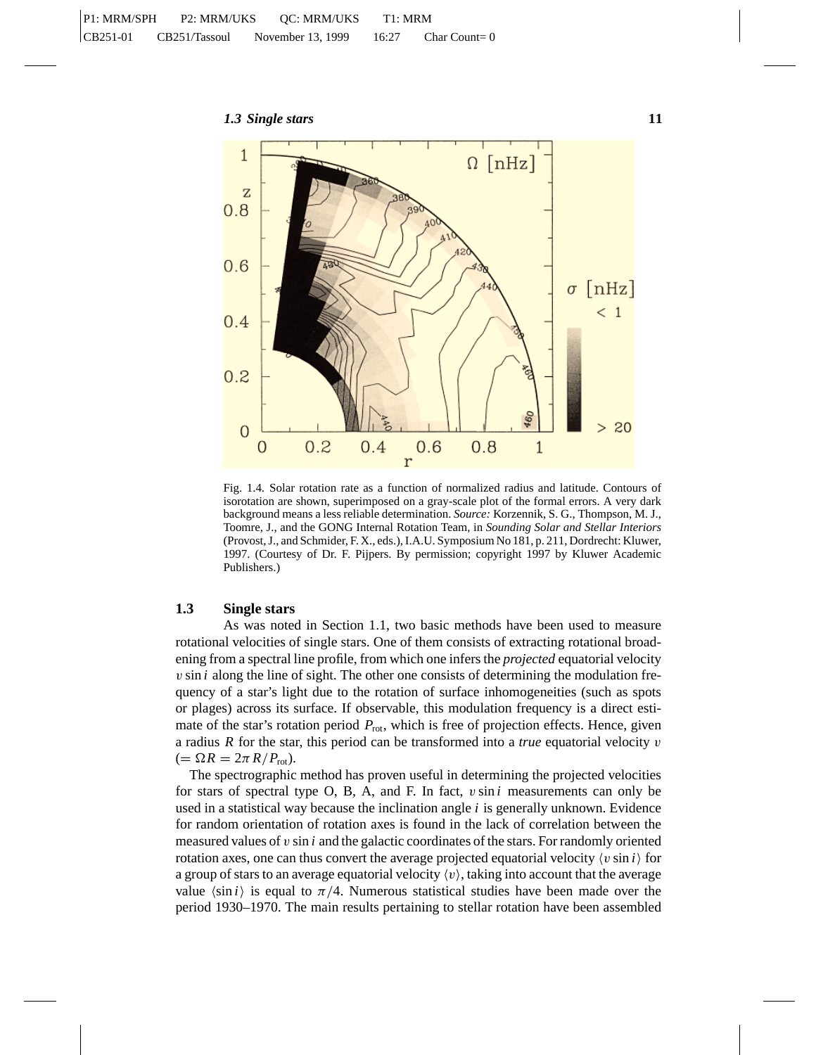

Fig. 1.4. Solar rotation rate as a function of normalized radius and latitude. Contours of isorotation are shown, superimposed on a gray-scale plot of the formal errors. A very dark background means a less reliable determination. *Source:* Korzennik, S. G., Thompson, M. J., Toomre, J., and the GONG Internal Rotation Team, in *Sounding Solar and Stellar Interiors* (Provost, J., and Schmider, F. X., eds.), I.A.U. Symposium No 181, p. 211, Dordrecht: Kluwer, 1997. (Courtesy of Dr. F. Pijpers. By permission; copyright 1997 by Kluwer Academic Publishers.)

#### **1.3 Single stars**

As was noted in Section 1.1, two basic methods have been used to measure rotational velocities of single stars. One of them consists of extracting rotational broadening from a spectral line profile, from which one infers the *projected* equatorial velocity v sin *i* along the line of sight. The other one consists of determining the modulation frequency of a star's light due to the rotation of surface inhomogeneities (such as spots or plages) across its surface. If observable, this modulation frequency is a direct estimate of the star's rotation period  $P_{\text{rot}}$ , which is free of projection effects. Hence, given a radius *R* for the star, this period can be transformed into a *true* equatorial velocity v  $(=\Omega R=2\pi R/P_{\text{rot}}).$ 

The spectrographic method has proven useful in determining the projected velocities for stars of spectral type O, B, A, and F. In fact, v sin *i* measurements can only be used in a statistical way because the inclination angle *i* is generally unknown. Evidence for random orientation of rotation axes is found in the lack of correlation between the measured values of v sin *i* and the galactic coordinates of the stars. For randomly oriented rotation axes, one can thus convert the average projected equatorial velocity  $\langle v \sin i \rangle$  for a group of stars to an average equatorial velocity  $\langle v \rangle$ , taking into account that the average value  $\langle \sin i \rangle$  is equal to  $\pi/4$ . Numerous statistical studies have been made over the period 1930–1970. The main results pertaining to stellar rotation have been assembled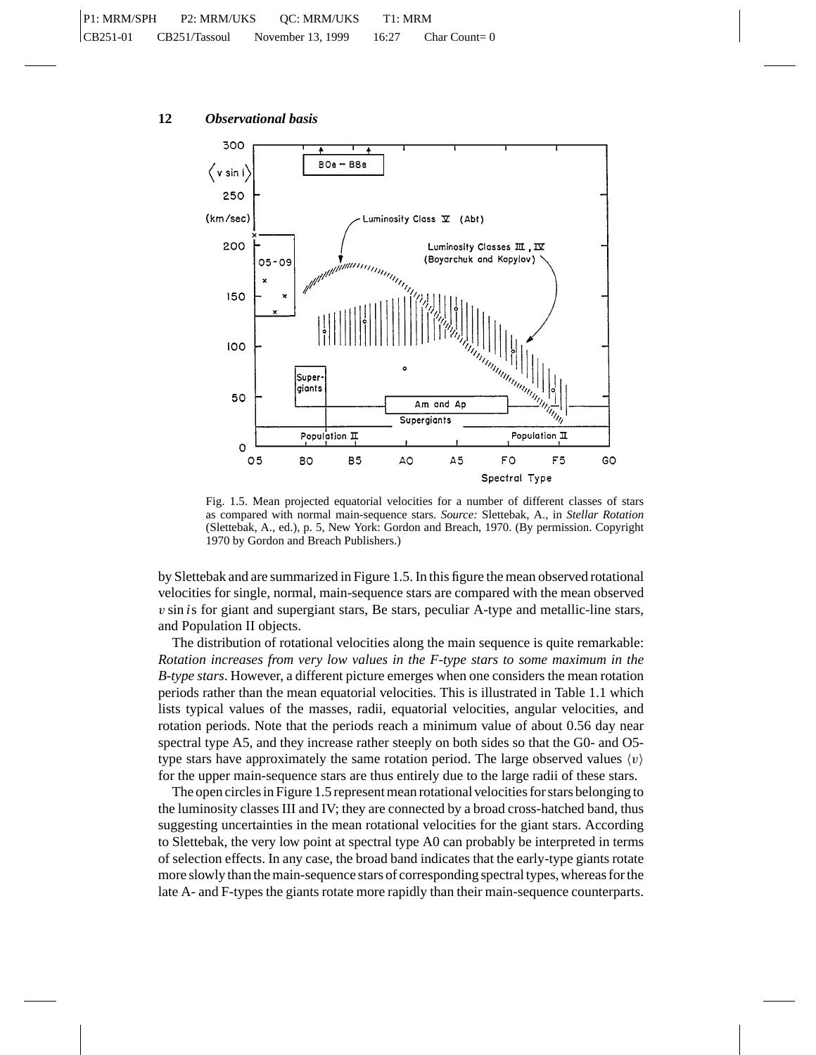

Fig. 1.5. Mean projected equatorial velocities for a number of different classes of stars as compared with normal main-sequence stars. *Source:* Slettebak, A., in *Stellar Rotation* (Slettebak, A., ed.), p. 5, New York: Gordon and Breach, 1970. (By permission. Copyright 1970 by Gordon and Breach Publishers.)

by Slettebak and are summarized in Figure 1.5. In this figure the mean observed rotational velocities for single, normal, main-sequence stars are compared with the mean observed v sin *i*s for giant and supergiant stars, Be stars, peculiar A-type and metallic-line stars, and Population II objects.

The distribution of rotational velocities along the main sequence is quite remarkable: *Rotation increases from very low values in the F-type stars to some maximum in the B-type stars*. However, a different picture emerges when one considers the mean rotation periods rather than the mean equatorial velocities. This is illustrated in Table 1.1 which lists typical values of the masses, radii, equatorial velocities, angular velocities, and rotation periods. Note that the periods reach a minimum value of about 0.56 day near spectral type A5, and they increase rather steeply on both sides so that the G0- and O5 type stars have approximately the same rotation period. The large observed values  $\langle v \rangle$ for the upper main-sequence stars are thus entirely due to the large radii of these stars.

The open circles in Figure 1.5 represent mean rotational velocities for stars belonging to the luminosity classes III and IV; they are connected by a broad cross-hatched band, thus suggesting uncertainties in the mean rotational velocities for the giant stars. According to Slettebak, the very low point at spectral type A0 can probably be interpreted in terms of selection effects. In any case, the broad band indicates that the early-type giants rotate more slowly than the main-sequence stars of corresponding spectral types, whereas for the late A- and F-types the giants rotate more rapidly than their main-sequence counterparts.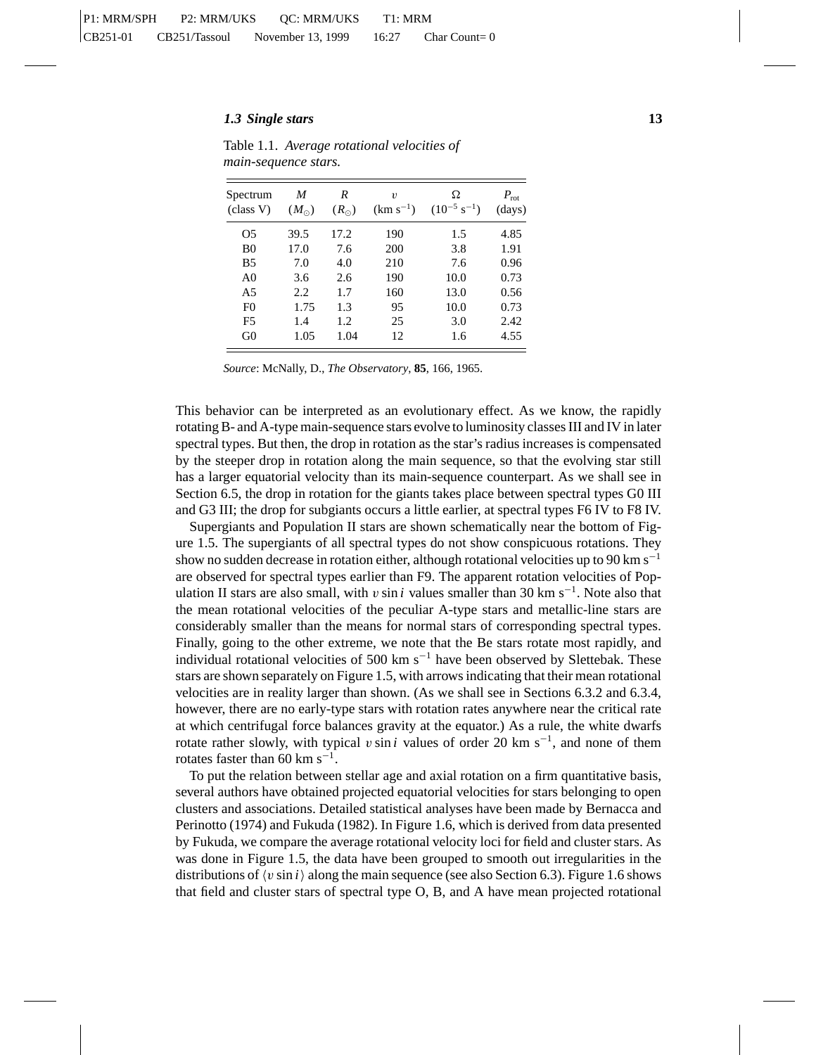#### *1.3 Single stars* **13**

| Spectrum<br>(class V) | M<br>$(M_{\odot})$ | R<br>$(R_{\odot})$ | $\boldsymbol{v}$<br>$(km s^{-1})$ | Ω<br>$(10^{-5} s^{-1})$ | $P_{\rm rot}$<br>(days) |
|-----------------------|--------------------|--------------------|-----------------------------------|-------------------------|-------------------------|
| O <sub>5</sub>        | 39.5               | 17.2               | 190                               | 1.5                     | 4.85                    |
| B0                    | 17.0               | 7.6                | 200                               | 3.8                     | 1.91                    |
| B5                    | 7.0                | 4.0                | 210                               | 7.6                     | 0.96                    |
| A <sub>0</sub>        | 3.6                | 2.6                | 190                               | 10.0                    | 0.73                    |
| A5                    | 2.2                | 1.7                | 160                               | 13.0                    | 0.56                    |
| F <sub>0</sub>        | 1.75               | 1.3                | 95                                | 10.0                    | 0.73                    |
| F <sub>5</sub>        | 1.4                | 1.2                | 25                                | 3.0                     | 2.42                    |
| G <sub>0</sub>        | 1.05               | 1.04               | 12                                | 1.6                     | 4.55                    |
|                       |                    |                    |                                   |                         |                         |

Table 1.1. *Average rotational velocities of main-sequence stars.*

*Source*: McNally, D., *The Observatory*, **85**, 166, 1965.

This behavior can be interpreted as an evolutionary effect. As we know, the rapidly rotating B- and A-type main-sequence stars evolve to luminosity classes III and IV in later spectral types. But then, the drop in rotation as the star's radius increases is compensated by the steeper drop in rotation along the main sequence, so that the evolving star still has a larger equatorial velocity than its main-sequence counterpart. As we shall see in Section 6.5, the drop in rotation for the giants takes place between spectral types G0 III and G3 III; the drop for subgiants occurs a little earlier, at spectral types F6 IV to F8 IV.

Supergiants and Population II stars are shown schematically near the bottom of Figure 1.5. The supergiants of all spectral types do not show conspicuous rotations. They show no sudden decrease in rotation either, although rotational velocities up to 90 km s<sup>−1</sup> are observed for spectral types earlier than F9. The apparent rotation velocities of Population II stars are also small, with v sin *i* values smaller than 30 km s<sup>−1</sup>. Note also that the mean rotational velocities of the peculiar A-type stars and metallic-line stars are considerably smaller than the means for normal stars of corresponding spectral types. Finally, going to the other extreme, we note that the Be stars rotate most rapidly, and individual rotational velocities of 500 km  $s^{-1}$  have been observed by Slettebak. These stars are shown separately on Figure 1.5, with arrows indicating that their mean rotational velocities are in reality larger than shown. (As we shall see in Sections 6.3.2 and 6.3.4, however, there are no early-type stars with rotation rates anywhere near the critical rate at which centrifugal force balances gravity at the equator.) As a rule, the white dwarfs rotate rather slowly, with typical v sin *i* values of order 20 km s−1, and none of them rotates faster than 60 km s<sup> $-1$ </sup>.

To put the relation between stellar age and axial rotation on a firm quantitative basis, several authors have obtained projected equatorial velocities for stars belonging to open clusters and associations. Detailed statistical analyses have been made by Bernacca and Perinotto (1974) and Fukuda (1982). In Figure 1.6, which is derived from data presented by Fukuda, we compare the average rotational velocity loci for field and cluster stars. As was done in Figure 1.5, the data have been grouped to smooth out irregularities in the distributions of  $\langle v \sin i \rangle$  along the main sequence (see also Section 6.3). Figure 1.6 shows that field and cluster stars of spectral type O, B, and A have mean projected rotational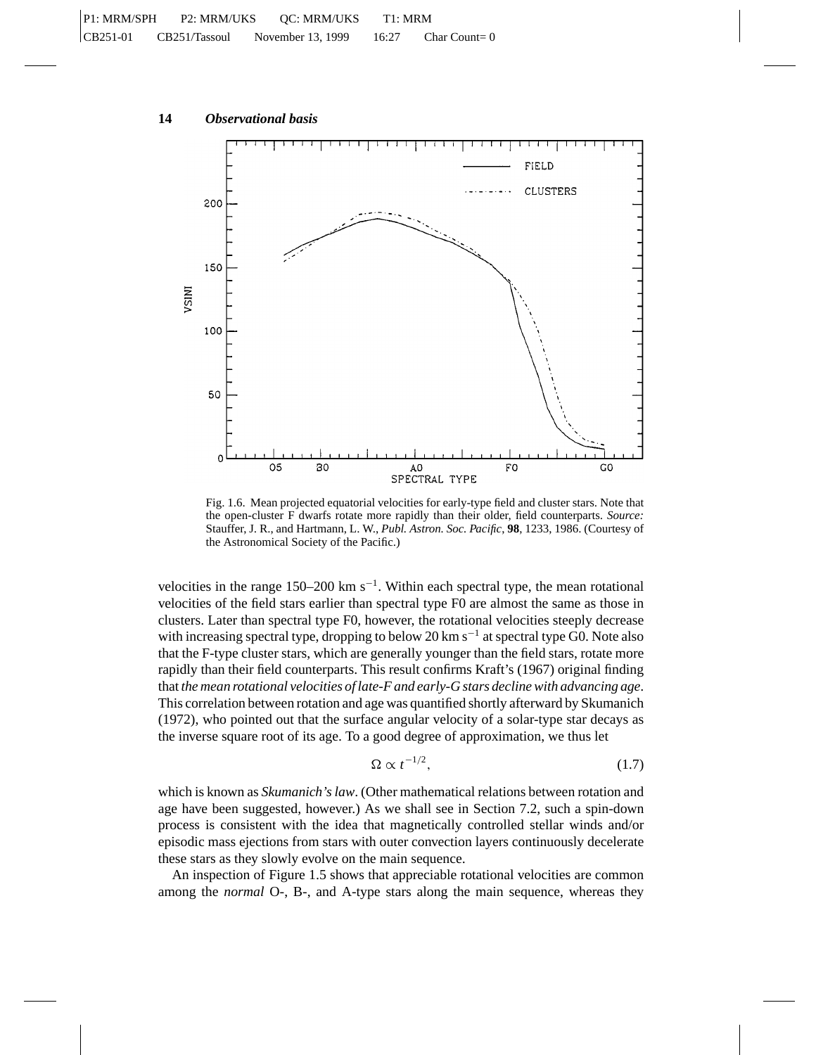

Fig. 1.6. Mean projected equatorial velocities for early-type field and cluster stars. Note that the open-cluster F dwarfs rotate more rapidly than their older, field counterparts. *Source:* Stauffer, J. R., and Hartmann, L. W., *Publ. Astron. Soc. Pacific*, **98**, 1233, 1986. (Courtesy of the Astronomical Society of the Pacific.)

velocities in the range 150–200 km s<sup> $-1$ </sup>. Within each spectral type, the mean rotational velocities of the field stars earlier than spectral type F0 are almost the same as those in clusters. Later than spectral type F0, however, the rotational velocities steeply decrease with increasing spectral type, dropping to below 20 km s<sup> $-1$ </sup> at spectral type G0. Note also that the F-type cluster stars, which are generally younger than the field stars, rotate more rapidly than their field counterparts. This result confirms Kraft's (1967) original finding that *the mean rotational velocities of late-F and early-G stars decline with advancing age*. This correlation between rotation and age was quantified shortly afterward by Skumanich (1972), who pointed out that the surface angular velocity of a solar-type star decays as the inverse square root of its age. To a good degree of approximation, we thus let

$$
\Omega \propto t^{-1/2},\tag{1.7}
$$

which is known as *Skumanich's law*. (Other mathematical relations between rotation and age have been suggested, however.) As we shall see in Section 7.2, such a spin-down process is consistent with the idea that magnetically controlled stellar winds and/or episodic mass ejections from stars with outer convection layers continuously decelerate these stars as they slowly evolve on the main sequence.

An inspection of Figure 1.5 shows that appreciable rotational velocities are common among the *normal* O-, B-, and A-type stars along the main sequence, whereas they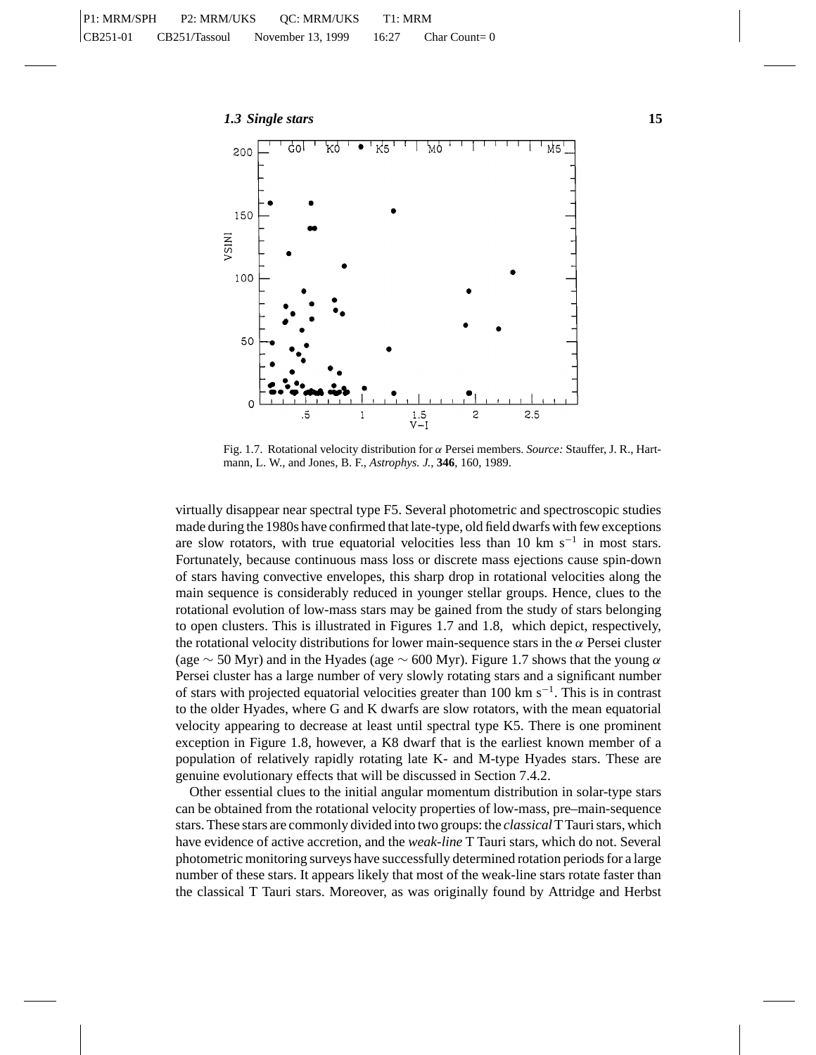

Fig. 1.7. Rotational velocity distribution for α Persei members. *Source:* Stauffer, J. R., Hartmann, L. W., and Jones, B. F., *Astrophys. J.*, **346**, 160, 1989.

virtually disappear near spectral type F5. Several photometric and spectroscopic studies made during the 1980s have confirmed that late-type, old field dwarfs with few exceptions are slow rotators, with true equatorial velocities less than 10 km s<sup> $-1$ </sup> in most stars. Fortunately, because continuous mass loss or discrete mass ejections cause spin-down of stars having convective envelopes, this sharp drop in rotational velocities along the main sequence is considerably reduced in younger stellar groups. Hence, clues to the rotational evolution of low-mass stars may be gained from the study of stars belonging to open clusters. This is illustrated in Figures 1.7 and 1.8, which depict, respectively, the rotational velocity distributions for lower main-sequence stars in the  $\alpha$  Persei cluster (age  $\sim$  50 Myr) and in the Hyades (age  $\sim$  600 Myr). Figure 1.7 shows that the young  $\alpha$ Persei cluster has a large number of very slowly rotating stars and a significant number of stars with projected equatorial velocities greater than 100 km s−1. This is in contrast to the older Hyades, where G and K dwarfs are slow rotators, with the mean equatorial velocity appearing to decrease at least until spectral type K5. There is one prominent exception in Figure 1.8, however, a K8 dwarf that is the earliest known member of a population of relatively rapidly rotating late K- and M-type Hyades stars. These are genuine evolutionary effects that will be discussed in Section 7.4.2.

Other essential clues to the initial angular momentum distribution in solar-type stars can be obtained from the rotational velocity properties of low-mass, pre–main-sequence stars. These stars are commonly divided into two groups: the *classical*T Tauri stars, which have evidence of active accretion, and the *weak-line* T Tauri stars, which do not. Several photometric monitoring surveys have successfully determined rotation periods for a large number of these stars. It appears likely that most of the weak-line stars rotate faster than the classical T Tauri stars. Moreover, as was originally found by Attridge and Herbst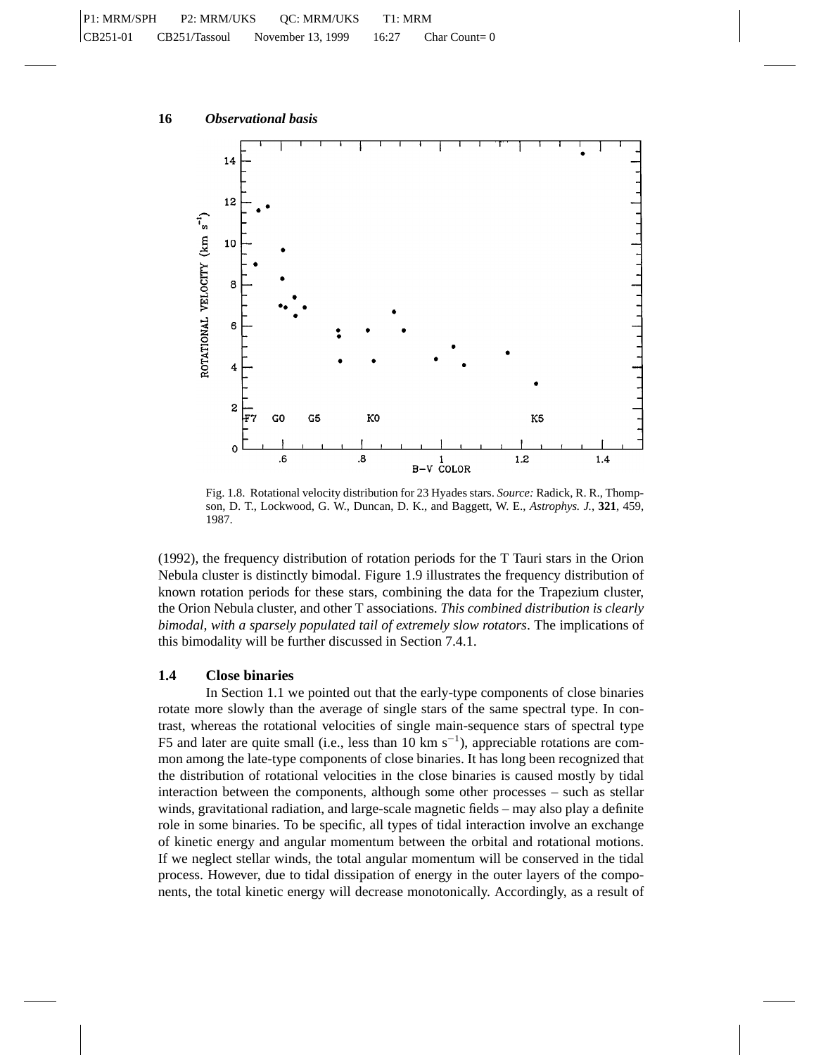

Fig. 1.8. Rotational velocity distribution for 23 Hyades stars. *Source:* Radick, R. R., Thompson, D. T., Lockwood, G. W., Duncan, D. K., and Baggett, W. E., *Astrophys. J.*, **321**, 459, 1987.

(1992), the frequency distribution of rotation periods for the T Tauri stars in the Orion Nebula cluster is distinctly bimodal. Figure 1.9 illustrates the frequency distribution of known rotation periods for these stars, combining the data for the Trapezium cluster, the Orion Nebula cluster, and other T associations. *This combined distribution is clearly bimodal, with a sparsely populated tail of extremely slow rotators*. The implications of this bimodality will be further discussed in Section 7.4.1.

### **1.4 Close binaries**

In Section 1.1 we pointed out that the early-type components of close binaries rotate more slowly than the average of single stars of the same spectral type. In contrast, whereas the rotational velocities of single main-sequence stars of spectral type F5 and later are quite small (i.e., less than 10 km s<sup>-1</sup>), appreciable rotations are common among the late-type components of close binaries. It has long been recognized that the distribution of rotational velocities in the close binaries is caused mostly by tidal interaction between the components, although some other processes – such as stellar winds, gravitational radiation, and large-scale magnetic fields – may also play a definite role in some binaries. To be specific, all types of tidal interaction involve an exchange of kinetic energy and angular momentum between the orbital and rotational motions. If we neglect stellar winds, the total angular momentum will be conserved in the tidal process. However, due to tidal dissipation of energy in the outer layers of the components, the total kinetic energy will decrease monotonically. Accordingly, as a result of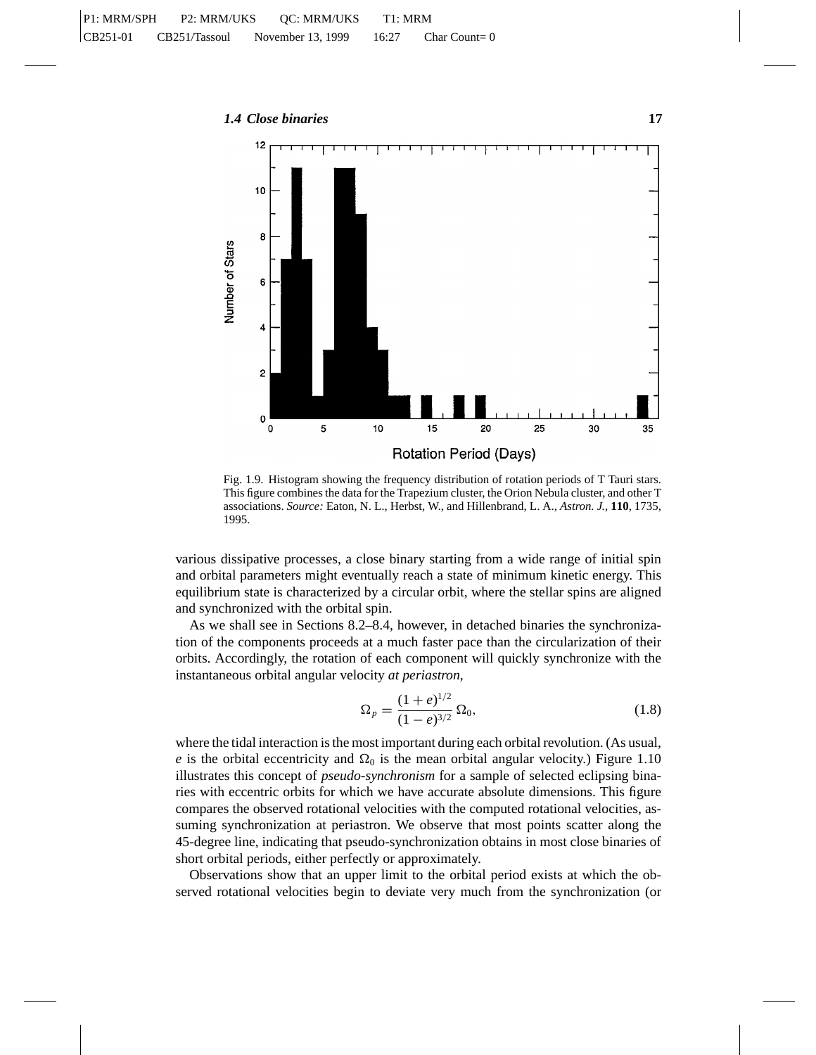

Fig. 1.9. Histogram showing the frequency distribution of rotation periods of T Tauri stars. This figure combines the data for the Trapezium cluster, the Orion Nebula cluster, and other T associations. *Source:* Eaton, N. L., Herbst, W., and Hillenbrand, L. A., *Astron. J.*, **110**, 1735, 1995.

various dissipative processes, a close binary starting from a wide range of initial spin and orbital parameters might eventually reach a state of minimum kinetic energy. This equilibrium state is characterized by a circular orbit, where the stellar spins are aligned and synchronized with the orbital spin.

As we shall see in Sections 8.2–8.4, however, in detached binaries the synchronization of the components proceeds at a much faster pace than the circularization of their orbits. Accordingly, the rotation of each component will quickly synchronize with the instantaneous orbital angular velocity *at periastron*,

$$
\Omega_p = \frac{(1+e)^{1/2}}{(1-e)^{3/2}} \Omega_0,
$$
\n(1.8)

where the tidal interaction is the most important during each orbital revolution. (As usual, *e* is the orbital eccentricity and  $\Omega_0$  is the mean orbital angular velocity.) Figure 1.10 illustrates this concept of *pseudo-synchronism* for a sample of selected eclipsing binaries with eccentric orbits for which we have accurate absolute dimensions. This figure compares the observed rotational velocities with the computed rotational velocities, assuming synchronization at periastron. We observe that most points scatter along the 45-degree line, indicating that pseudo-synchronization obtains in most close binaries of short orbital periods, either perfectly or approximately.

Observations show that an upper limit to the orbital period exists at which the observed rotational velocities begin to deviate very much from the synchronization (or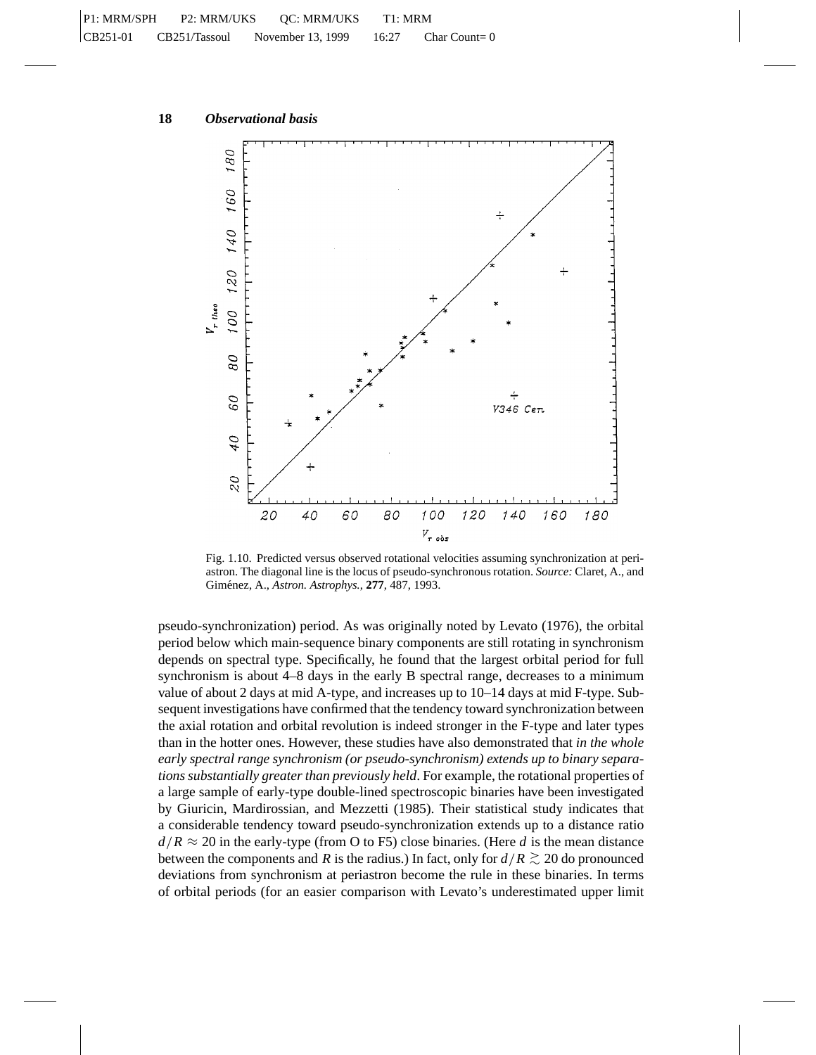

Fig. 1.10. Predicted versus observed rotational velocities assuming synchronization at periastron. The diagonal line is the locus of pseudo-synchronous rotation. *Source:* Claret, A., and Gim´enez, A., *Astron. Astrophys.*, **277**, 487, 1993.

pseudo-synchronization) period. As was originally noted by Levato (1976), the orbital period below which main-sequence binary components are still rotating in synchronism depends on spectral type. Specifically, he found that the largest orbital period for full synchronism is about 4–8 days in the early B spectral range, decreases to a minimum value of about 2 days at mid A-type, and increases up to 10–14 days at mid F-type. Subsequent investigations have confirmed that the tendency toward synchronization between the axial rotation and orbital revolution is indeed stronger in the F-type and later types than in the hotter ones. However, these studies have also demonstrated that *in the whole early spectral range synchronism (or pseudo-synchronism) extends up to binary separations substantially greater than previously held*. For example, the rotational properties of a large sample of early-type double-lined spectroscopic binaries have been investigated by Giuricin, Mardirossian, and Mezzetti (1985). Their statistical study indicates that a considerable tendency toward pseudo-synchronization extends up to a distance ratio  $d/R \approx 20$  in the early-type (from O to F5) close binaries. (Here *d* is the mean distance between the components and *R* is the radius.) In fact, only for  $d/R \gtrsim 20$  do pronounced doviations from synchronism at periodical because the rule in these binaries. In terms deviations from synchronism at periastron become the rule in these binaries. In terms of orbital periods (for an easier comparison with Levato's underestimated upper limit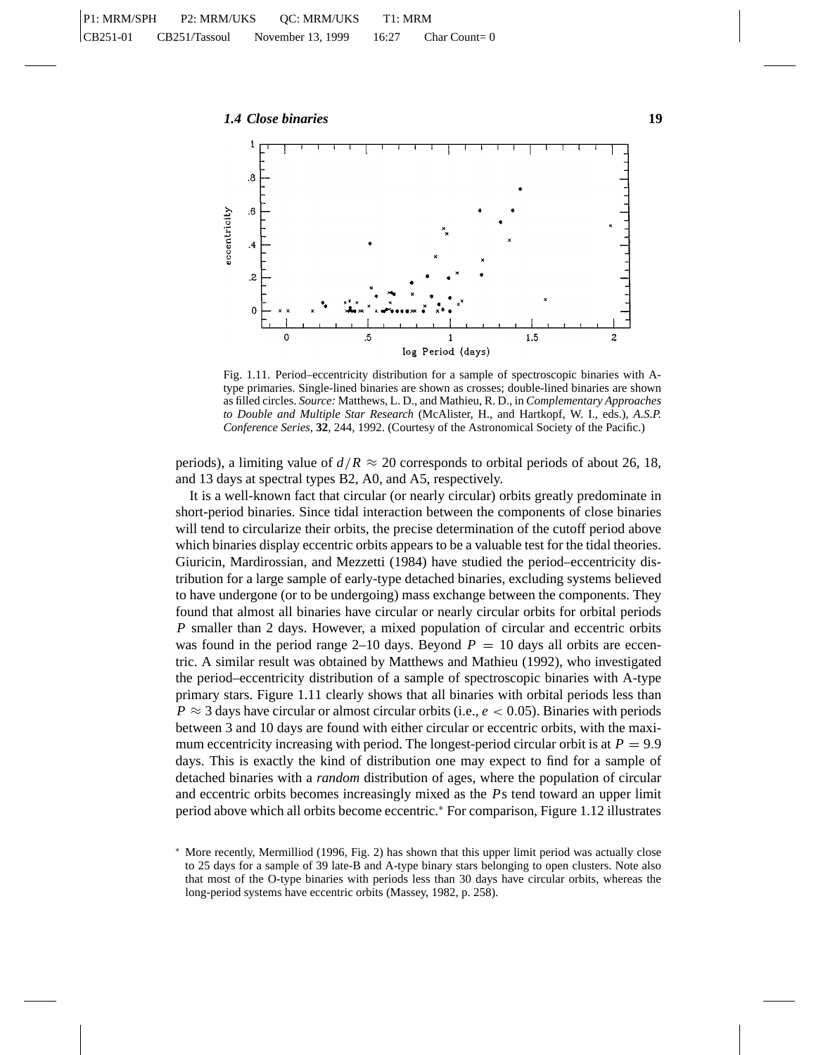

Fig. 1.11. Period–eccentricity distribution for a sample of spectroscopic binaries with Atype primaries. Single-lined binaries are shown as crosses; double-lined binaries are shown as filled circles. *Source:* Matthews, L. D., and Mathieu, R. D., in *Complementary Approaches to Double and Multiple Star Research* (McAlister, H., and Hartkopf, W. I., eds.), *A.S.P. Conference Series*, **32**, 244, 1992. (Courtesy of the Astronomical Society of the Pacific.)

periods), a limiting value of  $d/R \approx 20$  corresponds to orbital periods of about 26, 18, and 13 days at spectral types B2, A0, and A5, respectively.

It is a well-known fact that circular (or nearly circular) orbits greatly predominate in short-period binaries. Since tidal interaction between the components of close binaries will tend to circularize their orbits, the precise determination of the cutoff period above which binaries display eccentric orbits appears to be a valuable test for the tidal theories. Giuricin, Mardirossian, and Mezzetti (1984) have studied the period–eccentricity distribution for a large sample of early-type detached binaries, excluding systems believed to have undergone (or to be undergoing) mass exchange between the components. They found that almost all binaries have circular or nearly circular orbits for orbital periods *P* smaller than 2 days. However, a mixed population of circular and eccentric orbits was found in the period range 2–10 days. Beyond  $P = 10$  days all orbits are eccentric. A similar result was obtained by Matthews and Mathieu (1992), who investigated the period–eccentricity distribution of a sample of spectroscopic binaries with A-type primary stars. Figure 1.11 clearly shows that all binaries with orbital periods less than *P*  $\approx$  3 days have circular or almost circular orbits (i.e., *e* < 0.05). Binaries with periods between 3 and 10 days are found with either circular or eccentric orbits, with the maximum eccentricity increasing with period. The longest-period circular orbit is at  $P = 9.9$ days. This is exactly the kind of distribution one may expect to find for a sample of detached binaries with a *random* distribution of ages, where the population of circular and eccentric orbits becomes increasingly mixed as the *P*s tend toward an upper limit period above which all orbits become eccentric.<sup>∗</sup> For comparison, Figure 1.12 illustrates

<sup>∗</sup> More recently, Mermilliod (1996, Fig. 2) has shown that this upper limit period was actually close to 25 days for a sample of 39 late-B and A-type binary stars belonging to open clusters. Note also that most of the O-type binaries with periods less than 30 days have circular orbits, whereas the long-period systems have eccentric orbits (Massey, 1982, p. 258).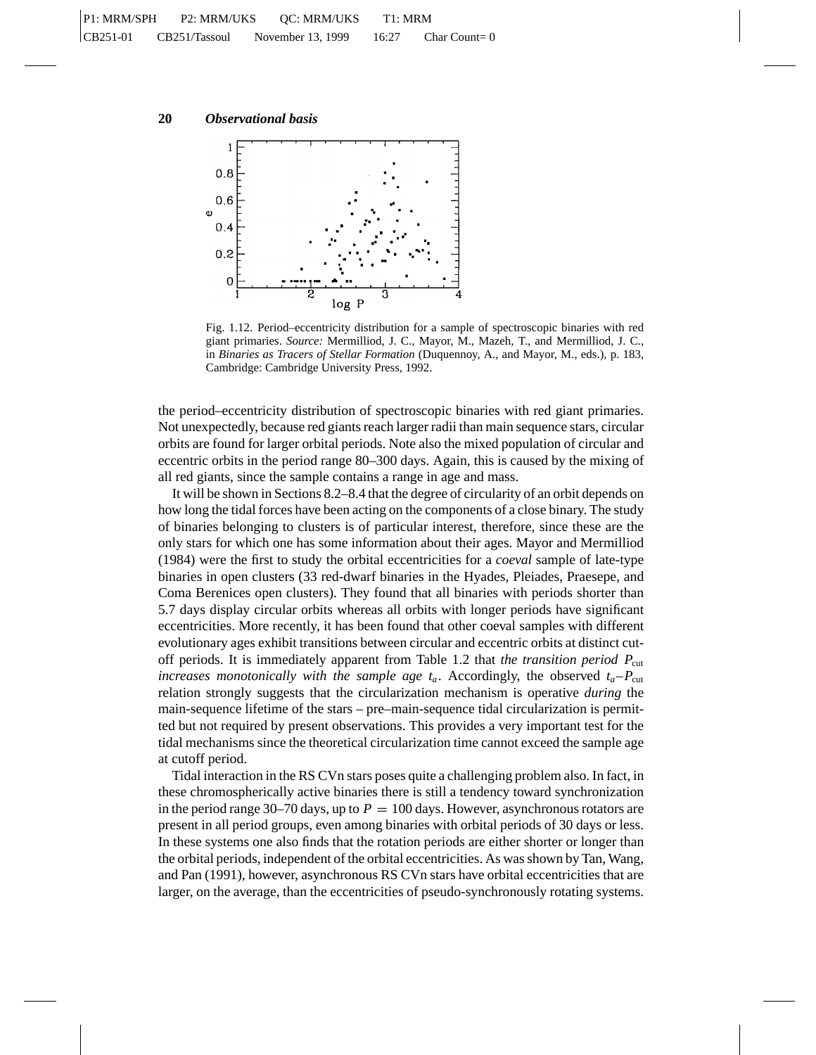

Fig. 1.12. Period–eccentricity distribution for a sample of spectroscopic binaries with red giant primaries. *Source:* Mermilliod, J. C., Mayor, M., Mazeh, T., and Mermilliod, J. C., in *Binaries as Tracers of Stellar Formation* (Duquennoy, A., and Mayor, M., eds.), p. 183, Cambridge: Cambridge University Press, 1992.

the period–eccentricity distribution of spectroscopic binaries with red giant primaries. Not unexpectedly, because red giants reach larger radii than main sequence stars, circular orbits are found for larger orbital periods. Note also the mixed population of circular and eccentric orbits in the period range 80–300 days. Again, this is caused by the mixing of all red giants, since the sample contains a range in age and mass.

It will be shown in Sections 8.2–8.4 that the degree of circularity of an orbit depends on how long the tidal forces have been acting on the components of a close binary. The study of binaries belonging to clusters is of particular interest, therefore, since these are the only stars for which one has some information about their ages. Mayor and Mermilliod (1984) were the first to study the orbital eccentricities for a *coeval* sample of late-type binaries in open clusters (33 red-dwarf binaries in the Hyades, Pleiades, Praesepe, and Coma Berenices open clusters). They found that all binaries with periods shorter than 5.7 days display circular orbits whereas all orbits with longer periods have significant eccentricities. More recently, it has been found that other coeval samples with different evolutionary ages exhibit transitions between circular and eccentric orbits at distinct cutoff periods. It is immediately apparent from Table 1.2 that *the transition period*  $P_{\text{cut}}$ *increases monotonically with the sample age*  $t_a$ *. Accordingly, the observed*  $t_a-P_{\text{cut}}$ relation strongly suggests that the circularization mechanism is operative *during* the main-sequence lifetime of the stars – pre–main-sequence tidal circularization is permitted but not required by present observations. This provides a very important test for the tidal mechanisms since the theoretical circularization time cannot exceed the sample age at cutoff period.

Tidal interaction in the RS CVn stars poses quite a challenging problem also. In fact, in these chromospherically active binaries there is still a tendency toward synchronization in the period range 30–70 days, up to  $P = 100$  days. However, asynchronous rotators are present in all period groups, even among binaries with orbital periods of 30 days or less. In these systems one also finds that the rotation periods are either shorter or longer than the orbital periods, independent of the orbital eccentricities. As was shown by Tan, Wang, and Pan (1991), however, asynchronous RS CVn stars have orbital eccentricities that are larger, on the average, than the eccentricities of pseudo-synchronously rotating systems.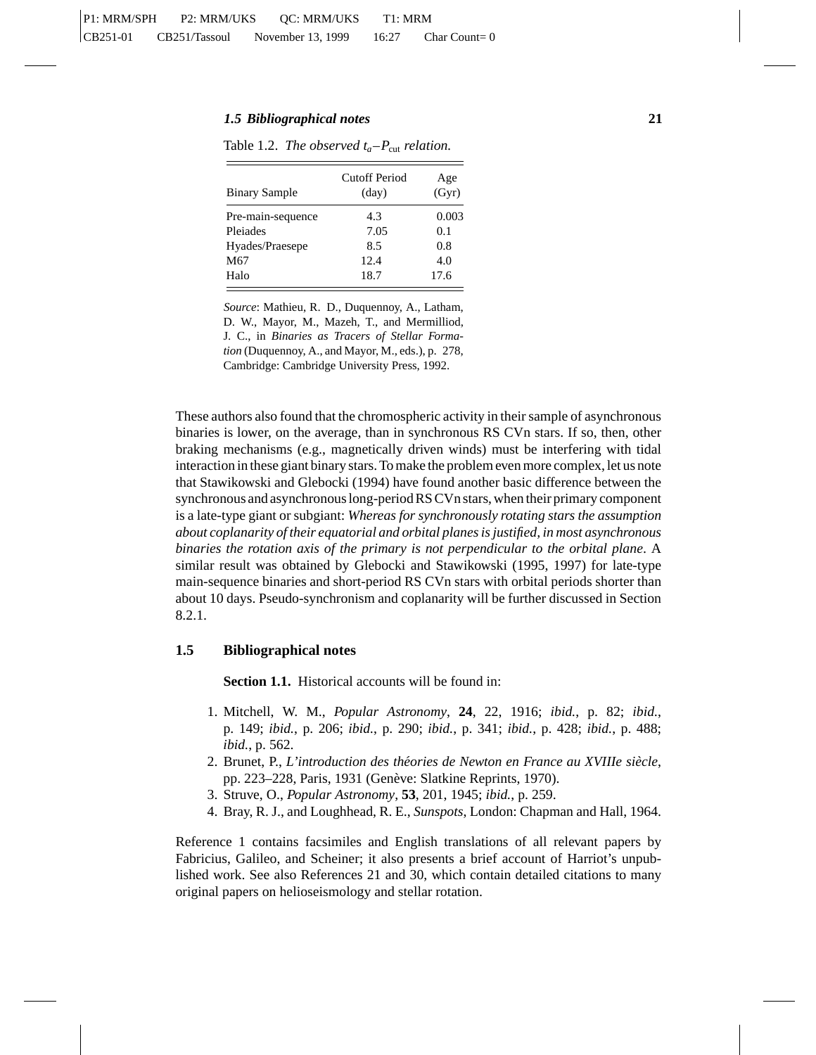| <b>Binary Sample</b> | <b>Cutoff Period</b><br>$\text{(day)}$ | Age<br>(Gyr) |
|----------------------|----------------------------------------|--------------|
| Pre-main-sequence    | 4.3                                    | 0.003        |
| Pleiades             | 7.05                                   | 0.1          |
| Hyades/Praesepe      | 8.5                                    | 0.8          |
| M67                  | 12.4                                   | 4.0          |
| Halo                 | 18.7                                   | 17.6         |

Table 1.2. *The observed*  $t_a-P_{\text{cut}}$  *relation.* 

*Source*: Mathieu, R. D., Duquennoy, A., Latham, D. W., Mayor, M., Mazeh, T., and Mermilliod, J. C., in *Binaries as Tracers of Stellar Formation* (Duquennoy, A., and Mayor, M., eds.), p. 278, Cambridge: Cambridge University Press, 1992.

These authors also found that the chromospheric activity in their sample of asynchronous binaries is lower, on the average, than in synchronous RS CVn stars. If so, then, other braking mechanisms (e.g., magnetically driven winds) must be interfering with tidal interaction in these giant binary stars. To make the problem even more complex, let us note that Stawikowski and Glebocki (1994) have found another basic difference between the synchronous and asynchronous long-period RS CVn stars, when their primary component is a late-type giant or subgiant: *Whereas for synchronously rotating stars the assumption about coplanarity of their equatorial and orbital planes is justified, in most asynchronous binaries the rotation axis of the primary is not perpendicular to the orbital plane*. A similar result was obtained by Glebocki and Stawikowski (1995, 1997) for late-type main-sequence binaries and short-period RS CVn stars with orbital periods shorter than about 10 days. Pseudo-synchronism and coplanarity will be further discussed in Section 8.2.1.

#### **1.5 Bibliographical notes**

**Section 1.1.** Historical accounts will be found in:

- 1. Mitchell, W. M., *Popular Astronomy*, **24**, 22, 1916; *ibid.*, p. 82; *ibid.*, p. 149; *ibid.*, p. 206; *ibid.*, p. 290; *ibid.*, p. 341; *ibid.*, p. 428; *ibid.*, p. 488; *ibid.*, p. 562.
- 2. Brunet, P., *L'introduction des théories de Newton en France au XVIIIe siècle,* pp. 223–228, Paris, 1931 (Genève: Slatkine Reprints, 1970).
- 3. Struve, O., *Popular Astronomy*, **53**, 201, 1945; *ibid.*, p. 259.
- 4. Bray, R. J., and Loughhead, R. E., *Sunspots*, London: Chapman and Hall, 1964.

Reference 1 contains facsimiles and English translations of all relevant papers by Fabricius, Galileo, and Scheiner; it also presents a brief account of Harriot's unpublished work. See also References 21 and 30, which contain detailed citations to many original papers on helioseismology and stellar rotation.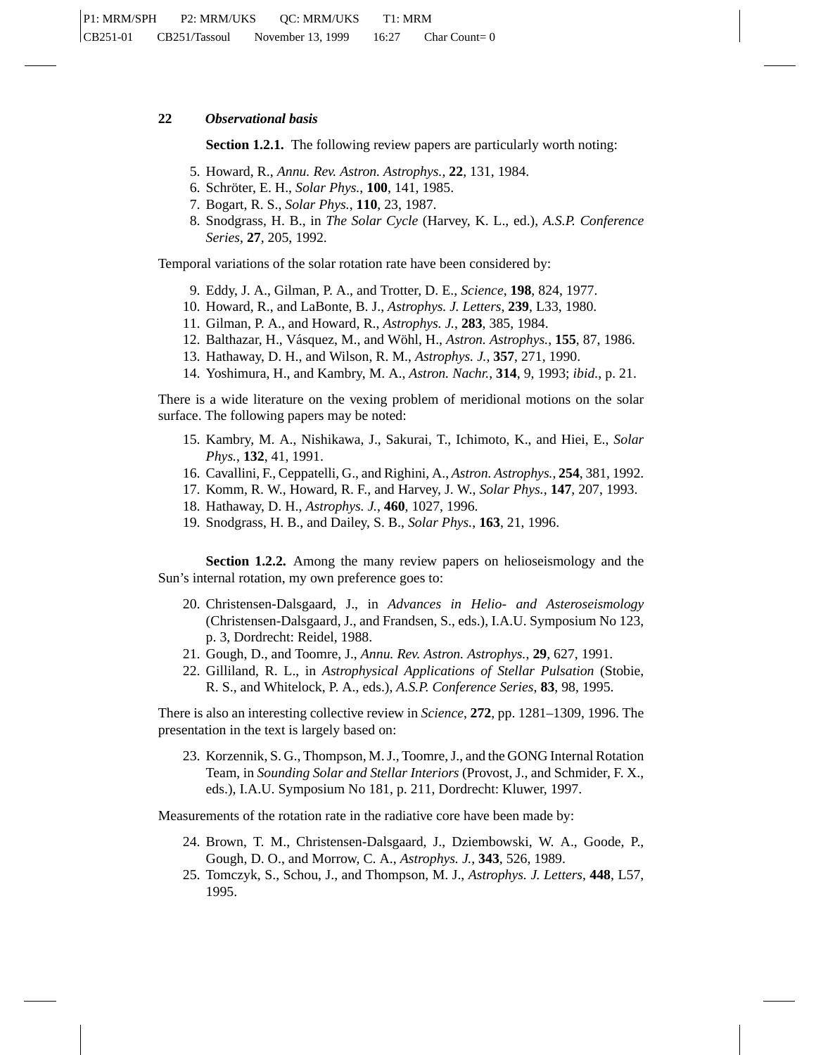#### **22** *Observational basis*

**Section 1.2.1.** The following review papers are particularly worth noting:

- 5. Howard, R., *Annu. Rev. Astron. Astrophys.*, **22**, 131, 1984.
- 6. Schröter, E. H., *Solar Phys.*, **100**, 141, 1985.
- 7. Bogart, R. S., *Solar Phys.*, **110**, 23, 1987.
- 8. Snodgrass, H. B., in *The Solar Cycle* (Harvey, K. L., ed.), *A.S.P. Conference Series*, **27**, 205, 1992.

Temporal variations of the solar rotation rate have been considered by:

- 9. Eddy, J. A., Gilman, P. A., and Trotter, D. E., *Science*, **198**, 824, 1977.
- 10. Howard, R., and LaBonte, B. J., *Astrophys. J. Letters*, **239**, L33, 1980.
- 11. Gilman, P. A., and Howard, R., *Astrophys. J.*, **283**, 385, 1984.
- 12. Balthazar, H., V´asquez, M., and W¨ohl, H., *Astron. Astrophys.*, **155**, 87, 1986.
- 13. Hathaway, D. H., and Wilson, R. M., *Astrophys. J.*, **357**, 271, 1990.
- 14. Yoshimura, H., and Kambry, M. A., *Astron. Nachr.*, **314**, 9, 1993; *ibid.*, p. 21.

There is a wide literature on the vexing problem of meridional motions on the solar surface. The following papers may be noted:

- 15. Kambry, M. A., Nishikawa, J., Sakurai, T., Ichimoto, K., and Hiei, E., *Solar Phys.*, **132**, 41, 1991.
- 16. Cavallini, F., Ceppatelli, G., and Righini, A., *Astron. Astrophys.*, **254**, 381, 1992.
- 17. Komm, R. W., Howard, R. F., and Harvey, J. W., *Solar Phys.*, **147**, 207, 1993.
- 18. Hathaway, D. H., *Astrophys. J.*, **460**, 1027, 1996.
- 19. Snodgrass, H. B., and Dailey, S. B., *Solar Phys.*, **163**, 21, 1996.

**Section 1.2.2.** Among the many review papers on helioseismology and the Sun's internal rotation, my own preference goes to:

- 20. Christensen-Dalsgaard, J., in *Advances in Helio- and Asteroseismology* (Christensen-Dalsgaard, J., and Frandsen, S., eds.), I.A.U. Symposium No 123, p. 3, Dordrecht: Reidel, 1988.
- 21. Gough, D., and Toomre, J., *Annu. Rev. Astron. Astrophys.*, **29**, 627, 1991.
- 22. Gilliland, R. L., in *Astrophysical Applications of Stellar Pulsation* (Stobie, R. S., and Whitelock, P. A., eds.), *A.S.P. Conference Series*, **83**, 98, 1995.

There is also an interesting collective review in *Science*, **272**, pp. 1281–1309, 1996. The presentation in the text is largely based on:

23. Korzennik, S. G., Thompson, M. J., Toomre, J., and the GONG Internal Rotation Team, in *Sounding Solar and Stellar Interiors* (Provost, J., and Schmider, F. X., eds.), I.A.U. Symposium No 181, p. 211, Dordrecht: Kluwer, 1997.

Measurements of the rotation rate in the radiative core have been made by:

- 24. Brown, T. M., Christensen-Dalsgaard, J., Dziembowski, W. A., Goode, P., Gough, D. O., and Morrow, C. A., *Astrophys. J.*, **343**, 526, 1989.
- 25. Tomczyk, S., Schou, J., and Thompson, M. J., *Astrophys. J. Letters*, **448**, L57, 1995.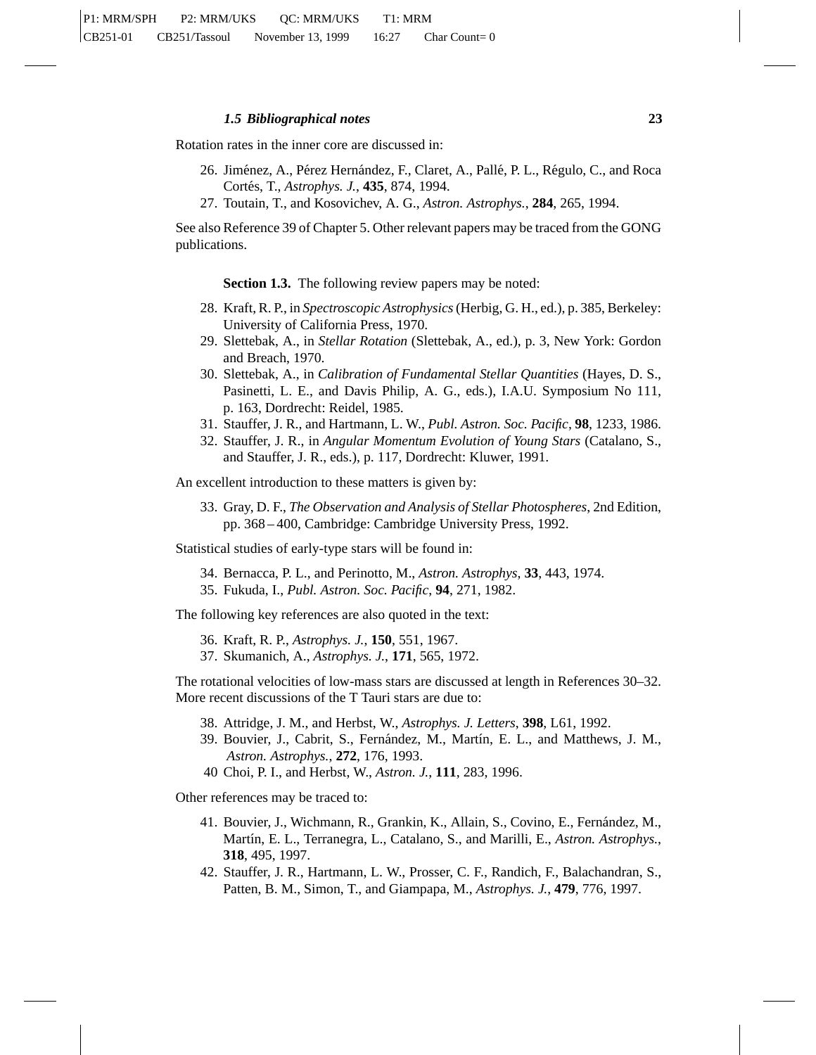Rotation rates in the inner core are discussed in:

- 26. Jiménez, A., Pérez Hernández, F., Claret, A., Pallé, P. L., Régulo, C., and Roca Cort´es, T., *Astrophys. J.*, **435**, 874, 1994.
- 27. Toutain, T., and Kosovichev, A. G., *Astron. Astrophys.*, **284**, 265, 1994.

See also Reference 39 of Chapter 5. Other relevant papers may be traced from the GONG publications.

**Section 1.3.** The following review papers may be noted:

- 28. Kraft, R. P., in *Spectroscopic Astrophysics*(Herbig, G. H., ed.), p. 385, Berkeley: University of California Press, 1970.
- 29. Slettebak, A., in *Stellar Rotation* (Slettebak, A., ed.), p. 3, New York: Gordon and Breach, 1970.
- 30. Slettebak, A., in *Calibration of Fundamental Stellar Quantities* (Hayes, D. S., Pasinetti, L. E., and Davis Philip, A. G., eds.), I.A.U. Symposium No 111, p. 163, Dordrecht: Reidel, 1985.
- 31. Stauffer, J. R., and Hartmann, L. W., *Publ. Astron. Soc. Pacific*, **98**, 1233, 1986.
- 32. Stauffer, J. R., in *Angular Momentum Evolution of Young Stars* (Catalano, S., and Stauffer, J. R., eds.), p. 117, Dordrecht: Kluwer, 1991.

An excellent introduction to these matters is given by:

33. Gray, D. F., *The Observation and Analysis of Stellar Photospheres*, 2nd Edition, pp. 368 – 400, Cambridge: Cambridge University Press, 1992.

Statistical studies of early-type stars will be found in:

34. Bernacca, P. L., and Perinotto, M., *Astron. Astrophys*, **33**, 443, 1974. 35. Fukuda, I., *Publ. Astron. Soc. Pacific*, **94**, 271, 1982.

The following key references are also quoted in the text:

36. Kraft, R. P., *Astrophys. J.*, **150**, 551, 1967.

37. Skumanich, A., *Astrophys. J.*, **171**, 565, 1972.

The rotational velocities of low-mass stars are discussed at length in References 30–32. More recent discussions of the T Tauri stars are due to:

- 38. Attridge, J. M., and Herbst, W., *Astrophys. J. Letters*, **398**, L61, 1992.
- 39. Bouvier, J., Cabrit, S., Fernández, M., Martín, E. L., and Matthews, J. M., *Astron. Astrophys.*, **272**, 176, 1993.
- 40 Choi, P. I., and Herbst, W., *Astron. J.*, **111**, 283, 1996.

Other references may be traced to:

- 41. Bouvier, J., Wichmann, R., Grankin, K., Allain, S., Covino, E., Fernández, M., Martín, E. L., Terranegra, L., Catalano, S., and Marilli, E., *Astron. Astrophys.*, **318**, 495, 1997.
- 42. Stauffer, J. R., Hartmann, L. W., Prosser, C. F., Randich, F., Balachandran, S., Patten, B. M., Simon, T., and Giampapa, M., *Astrophys. J.*, **479**, 776, 1997.